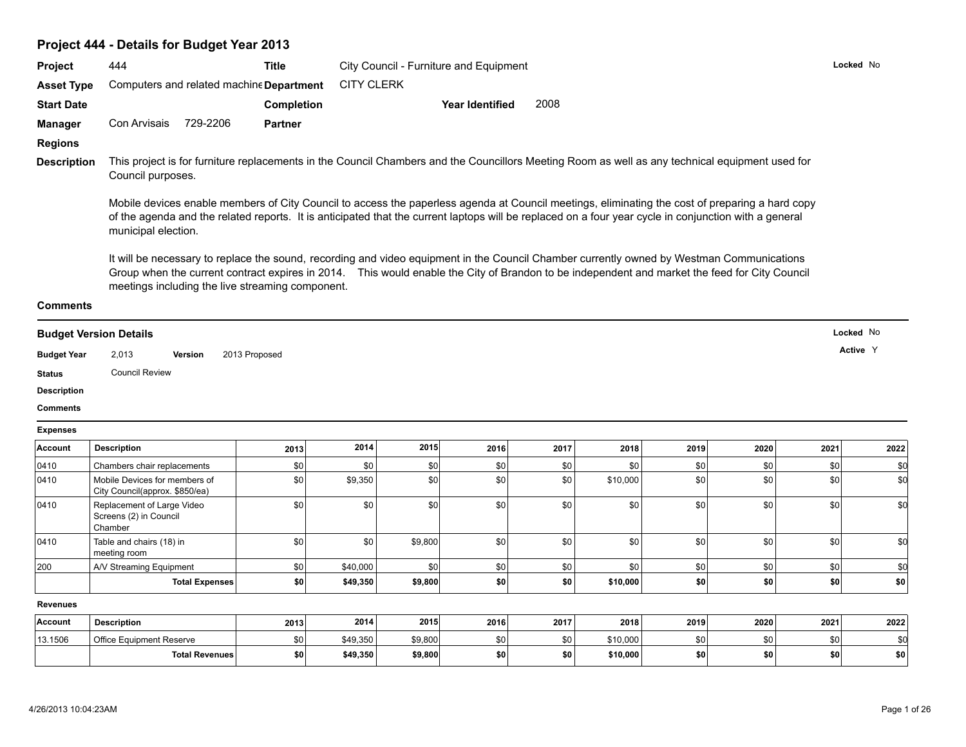### **Project 444 - Details for Budget Year 2013**

| Locked No<br>444<br>City Council - Furniture and Equipment<br><b>Title</b><br><b>CITY CLERK</b><br>Computers and related machine Department<br>2008<br><b>Completion</b><br><b>Year Identified</b><br>729-2206<br>Con Arvisais<br><b>Partner</b><br>This project is for furniture replacements in the Council Chambers and the Councillors Meeting Room as well as any technical equipment used for<br><b>Description</b><br>Council purposes.<br>Mobile devices enable members of City Council to access the paperless agenda at Council meetings, eliminating the cost of preparing a hard copy<br>of the agenda and the related reports. It is anticipated that the current laptops will be replaced on a four year cycle in conjunction with a general<br>municipal election.<br>It will be necessary to replace the sound, recording and video equipment in the Council Chamber currently owned by Westman Communications<br>Group when the current contract expires in 2014. This would enable the City of Brandon to be independent and market the feed for City Council<br>meetings including the live streaming component.<br>Locked No<br><b>Budget Version Details</b><br>Active Y<br>2013 Proposed<br>2,013<br>Version<br><b>Council Review</b><br>2014<br>2015<br><b>Description</b><br>2016<br>2017<br>2019<br>2018<br>2020<br>2021<br>2013<br>0410<br>\$0<br>\$0<br>\$0<br>Chambers chair replacements<br>\$0<br>\$0<br>\$0<br>\$0<br>\$0<br>\$0<br>\$0 | Project            |  |  |  |  |      |
|------------------------------------------------------------------------------------------------------------------------------------------------------------------------------------------------------------------------------------------------------------------------------------------------------------------------------------------------------------------------------------------------------------------------------------------------------------------------------------------------------------------------------------------------------------------------------------------------------------------------------------------------------------------------------------------------------------------------------------------------------------------------------------------------------------------------------------------------------------------------------------------------------------------------------------------------------------------------------------------------------------------------------------------------------------------------------------------------------------------------------------------------------------------------------------------------------------------------------------------------------------------------------------------------------------------------------------------------------------------------------------------------------------------------------------------------------------------------|--------------------|--|--|--|--|------|
|                                                                                                                                                                                                                                                                                                                                                                                                                                                                                                                                                                                                                                                                                                                                                                                                                                                                                                                                                                                                                                                                                                                                                                                                                                                                                                                                                                                                                                                                        |                    |  |  |  |  |      |
|                                                                                                                                                                                                                                                                                                                                                                                                                                                                                                                                                                                                                                                                                                                                                                                                                                                                                                                                                                                                                                                                                                                                                                                                                                                                                                                                                                                                                                                                        | <b>Asset Type</b>  |  |  |  |  |      |
|                                                                                                                                                                                                                                                                                                                                                                                                                                                                                                                                                                                                                                                                                                                                                                                                                                                                                                                                                                                                                                                                                                                                                                                                                                                                                                                                                                                                                                                                        | <b>Start Date</b>  |  |  |  |  |      |
|                                                                                                                                                                                                                                                                                                                                                                                                                                                                                                                                                                                                                                                                                                                                                                                                                                                                                                                                                                                                                                                                                                                                                                                                                                                                                                                                                                                                                                                                        | <b>Manager</b>     |  |  |  |  |      |
|                                                                                                                                                                                                                                                                                                                                                                                                                                                                                                                                                                                                                                                                                                                                                                                                                                                                                                                                                                                                                                                                                                                                                                                                                                                                                                                                                                                                                                                                        | <b>Regions</b>     |  |  |  |  |      |
|                                                                                                                                                                                                                                                                                                                                                                                                                                                                                                                                                                                                                                                                                                                                                                                                                                                                                                                                                                                                                                                                                                                                                                                                                                                                                                                                                                                                                                                                        |                    |  |  |  |  |      |
|                                                                                                                                                                                                                                                                                                                                                                                                                                                                                                                                                                                                                                                                                                                                                                                                                                                                                                                                                                                                                                                                                                                                                                                                                                                                                                                                                                                                                                                                        |                    |  |  |  |  |      |
|                                                                                                                                                                                                                                                                                                                                                                                                                                                                                                                                                                                                                                                                                                                                                                                                                                                                                                                                                                                                                                                                                                                                                                                                                                                                                                                                                                                                                                                                        |                    |  |  |  |  |      |
|                                                                                                                                                                                                                                                                                                                                                                                                                                                                                                                                                                                                                                                                                                                                                                                                                                                                                                                                                                                                                                                                                                                                                                                                                                                                                                                                                                                                                                                                        |                    |  |  |  |  |      |
|                                                                                                                                                                                                                                                                                                                                                                                                                                                                                                                                                                                                                                                                                                                                                                                                                                                                                                                                                                                                                                                                                                                                                                                                                                                                                                                                                                                                                                                                        | <b>Comments</b>    |  |  |  |  |      |
|                                                                                                                                                                                                                                                                                                                                                                                                                                                                                                                                                                                                                                                                                                                                                                                                                                                                                                                                                                                                                                                                                                                                                                                                                                                                                                                                                                                                                                                                        |                    |  |  |  |  |      |
|                                                                                                                                                                                                                                                                                                                                                                                                                                                                                                                                                                                                                                                                                                                                                                                                                                                                                                                                                                                                                                                                                                                                                                                                                                                                                                                                                                                                                                                                        | <b>Budget Year</b> |  |  |  |  |      |
|                                                                                                                                                                                                                                                                                                                                                                                                                                                                                                                                                                                                                                                                                                                                                                                                                                                                                                                                                                                                                                                                                                                                                                                                                                                                                                                                                                                                                                                                        | <b>Status</b>      |  |  |  |  |      |
|                                                                                                                                                                                                                                                                                                                                                                                                                                                                                                                                                                                                                                                                                                                                                                                                                                                                                                                                                                                                                                                                                                                                                                                                                                                                                                                                                                                                                                                                        | <b>Description</b> |  |  |  |  |      |
|                                                                                                                                                                                                                                                                                                                                                                                                                                                                                                                                                                                                                                                                                                                                                                                                                                                                                                                                                                                                                                                                                                                                                                                                                                                                                                                                                                                                                                                                        | <b>Comments</b>    |  |  |  |  |      |
|                                                                                                                                                                                                                                                                                                                                                                                                                                                                                                                                                                                                                                                                                                                                                                                                                                                                                                                                                                                                                                                                                                                                                                                                                                                                                                                                                                                                                                                                        | <b>Expenses</b>    |  |  |  |  |      |
|                                                                                                                                                                                                                                                                                                                                                                                                                                                                                                                                                                                                                                                                                                                                                                                                                                                                                                                                                                                                                                                                                                                                                                                                                                                                                                                                                                                                                                                                        | Account            |  |  |  |  | 2022 |

|                 |                                                                 | -- - -     |          |         |      |                  |          |      |      |            |            |
|-----------------|-----------------------------------------------------------------|------------|----------|---------|------|------------------|----------|------|------|------------|------------|
| $ 0410\rangle$  | Chambers chair replacements                                     | \$0        | \$0      | \$0     | \$0  | \$0              | \$0      | \$0  | \$0  | \$0        | \$0        |
| 0410            | Mobile Devices for members of<br>City Council(approx. \$850/ea) | \$0        | \$9,350  | \$0     | \$0  | \$0 <sub>1</sub> | \$10,000 | \$0  | \$0  | \$0        | \$0        |
| $ 0410\rangle$  | Replacement of Large Video<br>Screens (2) in Council<br>Chamber | \$0        | \$0      | \$0     | \$0  | \$0              | \$0      | \$0  | \$0  | \$0        | \$0        |
| 0410            | Table and chairs (18) in<br>meeting room                        | \$0        | \$0      | \$9,800 | \$0  | \$0 <sub>1</sub> | \$0      | \$0  | \$0  | \$0        | \$0        |
| 200             | A/V Streaming Equipment                                         | \$0        | \$40,000 | \$0     | \$0  | \$0 <sub>1</sub> | \$0      | \$0  | \$0  | \$0        |            |
|                 | <b>Total Expenses</b>                                           | \$0        | \$49,350 | \$9,800 | \$0  | \$0              | \$10,000 | \$0  | \$0  | \$0        | <b>\$0</b> |
| <b>Revenues</b> |                                                                 |            |          |         |      |                  |          |      |      |            |            |
| Account         | <b>Description</b>                                              | 2013       | 2014     | 2015    | 2016 | 2017             | 2018     | 2019 | 2020 | 2021       | 2022       |
| 13.1506         | Office Equipment Reserve                                        | <b>\$0</b> | \$49,350 | \$9,800 | \$0  | \$0              | \$10,000 | \$0  | \$0  | <b>\$0</b> | \$0        |
|                 | Total Revenues                                                  | \$0        | \$49,350 | \$9,800 | \$0  | \$0              | \$10,000 | \$0  | \$0  | \$0        | -sol       |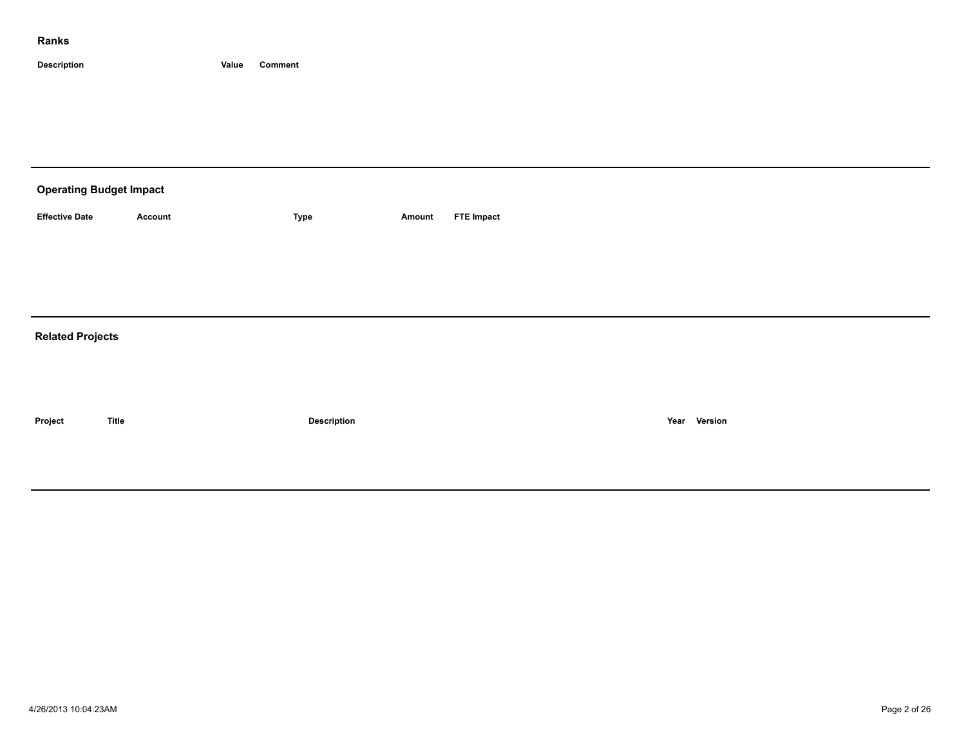| <b>Operating Budget Impact</b> |                |                    |        |                   |  |              |  |  |  |  |
|--------------------------------|----------------|--------------------|--------|-------------------|--|--------------|--|--|--|--|
| <b>Effective Date</b>          | <b>Account</b> | Type               | Amount | <b>FTE Impact</b> |  |              |  |  |  |  |
|                                |                |                    |        |                   |  |              |  |  |  |  |
|                                |                |                    |        |                   |  |              |  |  |  |  |
|                                |                |                    |        |                   |  |              |  |  |  |  |
| <b>Related Projects</b>        |                |                    |        |                   |  |              |  |  |  |  |
|                                |                |                    |        |                   |  |              |  |  |  |  |
|                                |                |                    |        |                   |  |              |  |  |  |  |
| Project                        | <b>Title</b>   | <b>Description</b> |        |                   |  | Year Version |  |  |  |  |
|                                |                |                    |        |                   |  |              |  |  |  |  |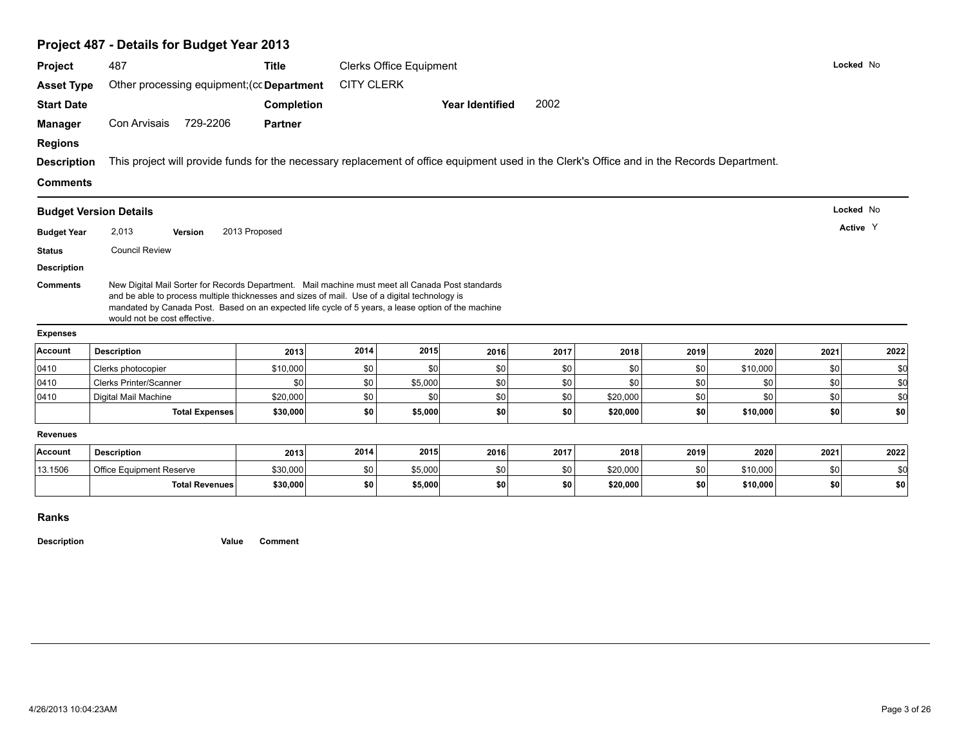| Project                                                | 487                                                                                                                                                                                                                                 | <b>Clerks Office Equipment</b> |                   |         |                        |            |          | Locked No  |                 |           |            |
|--------------------------------------------------------|-------------------------------------------------------------------------------------------------------------------------------------------------------------------------------------------------------------------------------------|--------------------------------|-------------------|---------|------------------------|------------|----------|------------|-----------------|-----------|------------|
| <b>Asset Type</b>                                      | Other processing equipment; (cc Department                                                                                                                                                                                          |                                | <b>CITY CLERK</b> |         |                        |            |          |            |                 |           |            |
| <b>Start Date</b>                                      |                                                                                                                                                                                                                                     | <b>Completion</b>              |                   |         | <b>Year Identified</b> | 2002       |          |            |                 |           |            |
| <b>Manager</b>                                         | 729-2206<br>Con Arvisais                                                                                                                                                                                                            | <b>Partner</b>                 |                   |         |                        |            |          |            |                 |           |            |
| <b>Regions</b>                                         |                                                                                                                                                                                                                                     |                                |                   |         |                        |            |          |            |                 |           |            |
| <b>Description</b>                                     | This project will provide funds for the necessary replacement of office equipment used in the Clerk's Office and in the Records Department.                                                                                         |                                |                   |         |                        |            |          |            |                 |           |            |
| <b>Comments</b>                                        |                                                                                                                                                                                                                                     |                                |                   |         |                        |            |          |            |                 |           |            |
|                                                        | <b>Budget Version Details</b>                                                                                                                                                                                                       |                                |                   |         |                        |            |          |            |                 | Locked No |            |
|                                                        | 2,013                                                                                                                                                                                                                               | 2013 Proposed                  |                   |         |                        |            |          |            |                 | Active Y  |            |
| <b>Budget Year</b>                                     | <b>Version</b>                                                                                                                                                                                                                      |                                |                   |         |                        |            |          |            |                 |           |            |
|                                                        |                                                                                                                                                                                                                                     |                                |                   |         |                        |            |          |            |                 |           |            |
| <b>Status</b><br><b>Description</b><br><b>Comments</b> | <b>Council Review</b><br>New Digital Mail Sorter for Records Department. Mail machine must meet all Canada Post standards                                                                                                           |                                |                   |         |                        |            |          |            |                 |           |            |
|                                                        | and be able to process multiple thicknesses and sizes of mail. Use of a digital technology is<br>mandated by Canada Post. Based on an expected life cycle of 5 years, a lease option of the machine<br>would not be cost effective. |                                |                   |         |                        |            |          |            |                 |           |            |
| <b>Expenses</b><br>Account                             | <b>Description</b>                                                                                                                                                                                                                  |                                | 2014              | 2015    | 2016                   | 2017       | 2018     | 2019       | 2020            | 2021      |            |
|                                                        |                                                                                                                                                                                                                                     | 2013                           |                   | \$0     |                        |            | \$0      |            |                 | \$0       | 2022       |
| 0410<br>0410                                           | Clerks photocopier<br><b>Clerks Printer/Scanner</b>                                                                                                                                                                                 | \$10,000<br>\$0                | \$0<br>\$0        | \$5,000 | \$0<br>\$0             | \$0<br>\$0 | \$0      | \$0<br>\$0 | \$10,000<br>\$0 | \$0       | \$0<br>\$0 |
| 0410                                                   | Digital Mail Machine                                                                                                                                                                                                                | \$20,000                       | \$0               | \$0     | \$0                    | \$0        | \$20,000 | \$0        | \$0             | \$0       | \$0        |
|                                                        | <b>Total Expenses</b>                                                                                                                                                                                                               | \$30,000                       | \$0               | \$5,000 | \$0                    | \$0        | \$20,000 | \$0        | \$10,000        | \$0       | \$0        |
| <b>Revenues</b>                                        |                                                                                                                                                                                                                                     |                                |                   |         |                        |            |          |            |                 |           |            |
| Account                                                | <b>Description</b>                                                                                                                                                                                                                  | 2013                           | 2014              | 2015    | 2016                   | 2017       | 2018     | 2019       | 2020            | 2021      | 2022       |
| 13.1506                                                | Office Equipment Reserve                                                                                                                                                                                                            | \$30,000                       | \$0               | \$5,000 | \$0                    | \$0        | \$20,000 | \$0        | \$10,000        | \$0       | \$0        |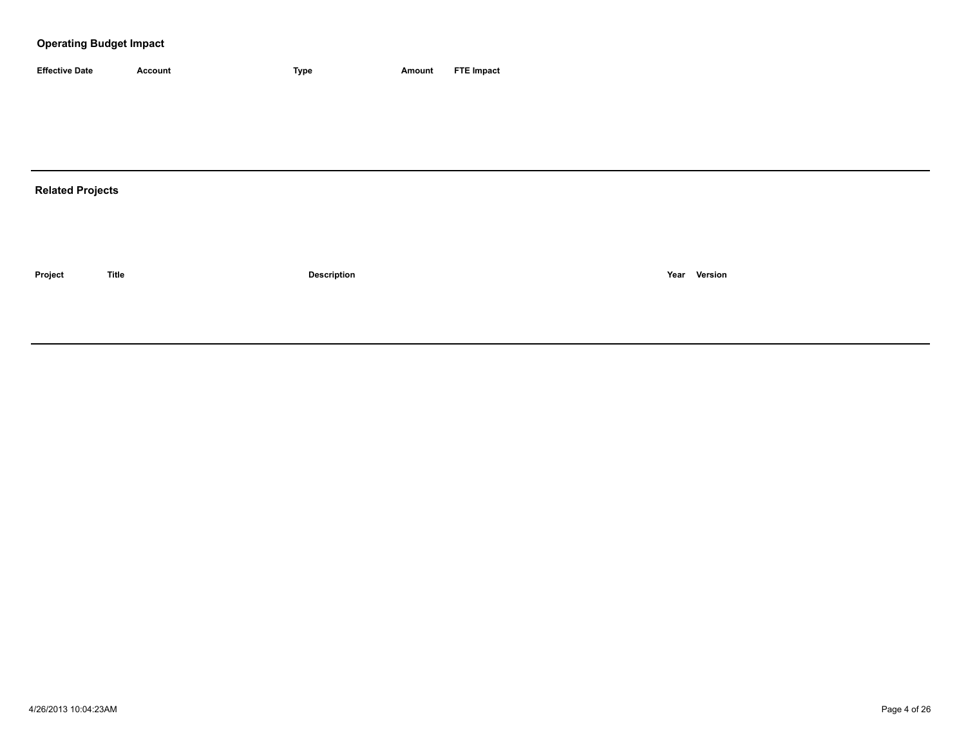### **Operating Budget Impact**

| <b>Effective Date</b> | Account | <b>Type</b> | Amount | <b>FTE Impact</b> |
|-----------------------|---------|-------------|--------|-------------------|

## **Related Projects**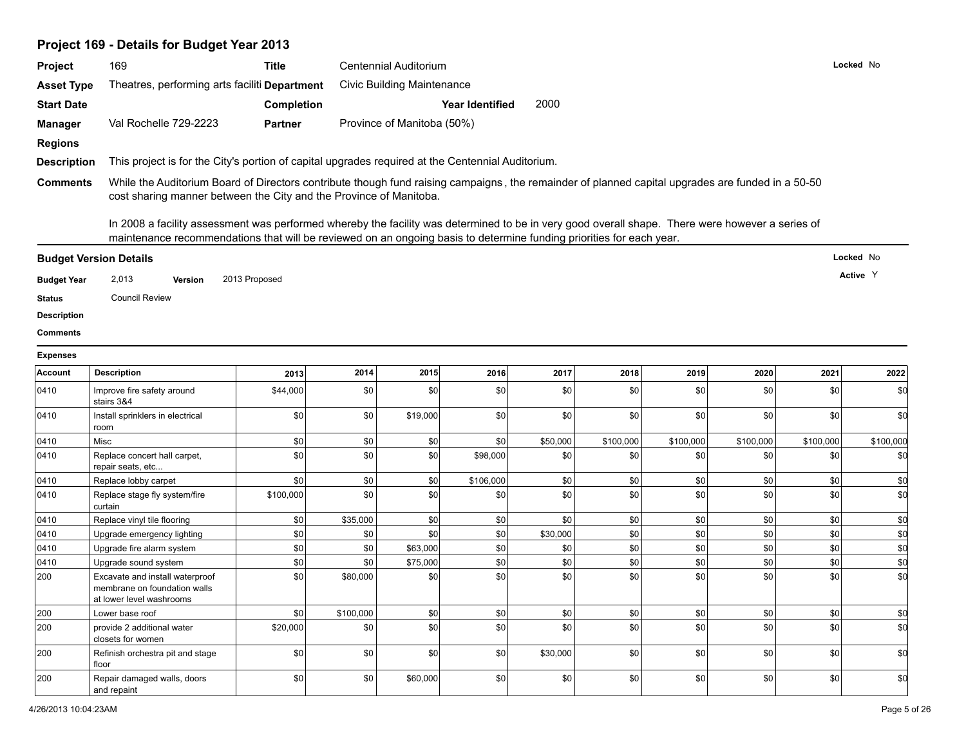# **Project 169 - Details for Budget Year 2013**

| Project            | 169                                                                                                                                                                                                                                                                      | <b>Title</b>      |           | Centennial Auditorium             |                        |          |           |           |           |           | Locked No |
|--------------------|--------------------------------------------------------------------------------------------------------------------------------------------------------------------------------------------------------------------------------------------------------------------------|-------------------|-----------|-----------------------------------|------------------------|----------|-----------|-----------|-----------|-----------|-----------|
| <b>Asset Type</b>  | Theatres, performing arts faciliti Department                                                                                                                                                                                                                            |                   |           | <b>Civic Building Maintenance</b> |                        |          |           |           |           |           |           |
| <b>Start Date</b>  |                                                                                                                                                                                                                                                                          | <b>Completion</b> |           |                                   | <b>Year Identified</b> | 2000     |           |           |           |           |           |
| <b>Manager</b>     | Val Rochelle 729-2223                                                                                                                                                                                                                                                    | <b>Partner</b>    |           | Province of Manitoba (50%)        |                        |          |           |           |           |           |           |
| <b>Regions</b>     |                                                                                                                                                                                                                                                                          |                   |           |                                   |                        |          |           |           |           |           |           |
| <b>Description</b> | This project is for the City's portion of capital upgrades required at the Centennial Auditorium.                                                                                                                                                                        |                   |           |                                   |                        |          |           |           |           |           |           |
| <b>Comments</b>    | While the Auditorium Board of Directors contribute though fund raising campaigns, the remainder of planned capital upgrades are funded in a 50-50                                                                                                                        |                   |           |                                   |                        |          |           |           |           |           |           |
|                    | cost sharing manner between the City and the Province of Manitoba.                                                                                                                                                                                                       |                   |           |                                   |                        |          |           |           |           |           |           |
|                    | In 2008 a facility assessment was performed whereby the facility was determined to be in very good overall shape. There were however a series of<br>maintenance recommendations that will be reviewed on an ongoing basis to determine funding priorities for each year. |                   |           |                                   |                        |          |           |           |           |           |           |
|                    | <b>Budget Version Details</b>                                                                                                                                                                                                                                            |                   |           |                                   |                        |          |           |           |           |           | Locked No |
| <b>Budget Year</b> | 2,013<br>Version                                                                                                                                                                                                                                                         | 2013 Proposed     |           |                                   |                        |          |           |           |           |           | Active Y  |
| <b>Status</b>      | <b>Council Review</b>                                                                                                                                                                                                                                                    |                   |           |                                   |                        |          |           |           |           |           |           |
| <b>Description</b> |                                                                                                                                                                                                                                                                          |                   |           |                                   |                        |          |           |           |           |           |           |
| <b>Comments</b>    |                                                                                                                                                                                                                                                                          |                   |           |                                   |                        |          |           |           |           |           |           |
|                    |                                                                                                                                                                                                                                                                          |                   |           |                                   |                        |          |           |           |           |           |           |
| <b>Expenses</b>    |                                                                                                                                                                                                                                                                          |                   |           |                                   |                        |          |           |           |           |           |           |
| Account            | <b>Description</b>                                                                                                                                                                                                                                                       | 2013              | 2014      | 2015                              | 2016                   | 2017     | 2018      | 2019      | 2020      | 2021      | 2022      |
| 0410               | Improve fire safety around<br>stairs 3&4                                                                                                                                                                                                                                 | \$44,000          | \$0       | \$0                               | \$0                    | \$0      | \$0       | \$0       | \$0       | \$0       | \$d       |
| 0410               | Install sprinklers in electrical<br>room                                                                                                                                                                                                                                 | \$0               | \$0       | \$19,000                          | \$0                    | \$0      | \$0       | \$0       | \$0       | \$0       | \$d       |
| 0410               | Misc                                                                                                                                                                                                                                                                     | \$0               | \$0       | \$0                               | \$0                    | \$50,000 | \$100,000 | \$100,000 | \$100,000 | \$100,000 | \$100,000 |
| 0410               | Replace concert hall carpet,<br>repair seats, etc                                                                                                                                                                                                                        | \$0               | \$0       | \$0                               | \$98,000               | \$0      | \$0       | \$0       | \$0       | \$0       | \$0       |
| 0410               | Replace lobby carpet                                                                                                                                                                                                                                                     | \$0               | \$0       | \$0                               | \$106,000              | \$0      | \$0       | \$0       | \$0       | \$0       | \$0       |
| 0410               | Replace stage fly system/fire<br>curtain                                                                                                                                                                                                                                 | \$100,000         | \$0       | \$0                               | \$0                    | \$0      | \$0       | \$0       | \$0       | \$0       | \$d       |
| 0410               | Replace vinyl tile flooring                                                                                                                                                                                                                                              | \$0               | \$35,000  | \$0                               | \$0                    | \$0      | \$0       | \$0       | \$0       | \$0       | \$0       |
| 0410               | Upgrade emergency lighting                                                                                                                                                                                                                                               | \$0               | \$0       | \$0                               | \$0                    | \$30,000 | \$0       | \$0       | \$0       | \$0       | \$0       |
| 0410               | Upgrade fire alarm system                                                                                                                                                                                                                                                | \$0               | \$0       | \$63,000                          | \$0                    | \$0      | \$0       | \$0       | \$0       | \$0       | \$d       |
| 0410               | Upgrade sound system                                                                                                                                                                                                                                                     | \$0               | \$0       | \$75,000                          | \$0                    | \$0      | \$0       | \$0       | \$0       | \$0       | \$0       |
| 200                | Excavate and install waterproof<br>membrane on foundation walls<br>at lower level washrooms                                                                                                                                                                              | \$0               | \$80,000  | \$0                               | \$0                    | \$0      | \$0       | \$0       | \$0       | \$0       | \$d       |
| 200                | Lower base roof                                                                                                                                                                                                                                                          | \$0               | \$100,000 | \$0                               | \$0                    | \$0      | \$0       | \$0       | \$0       | \$0       | \$d       |
| 200                | provide 2 additional water<br>closets for women                                                                                                                                                                                                                          | \$20,000          | \$0       | \$0                               | \$0                    | \$0      | \$0       | \$0       | \$0       | \$0       | \$d       |
| 200                | Refinish orchestra pit and stage<br>floor                                                                                                                                                                                                                                | \$0               | \$0       | \$0                               | \$0                    | \$30,000 | \$0       | \$0       | \$0       | \$0       | \$d       |
| 200                | Repair damaged walls, doors<br>and repaint                                                                                                                                                                                                                               | \$0               | \$0       | \$60,000                          | \$0                    | \$0      | \$0       | \$0       | \$0       | \$0       | \$d       |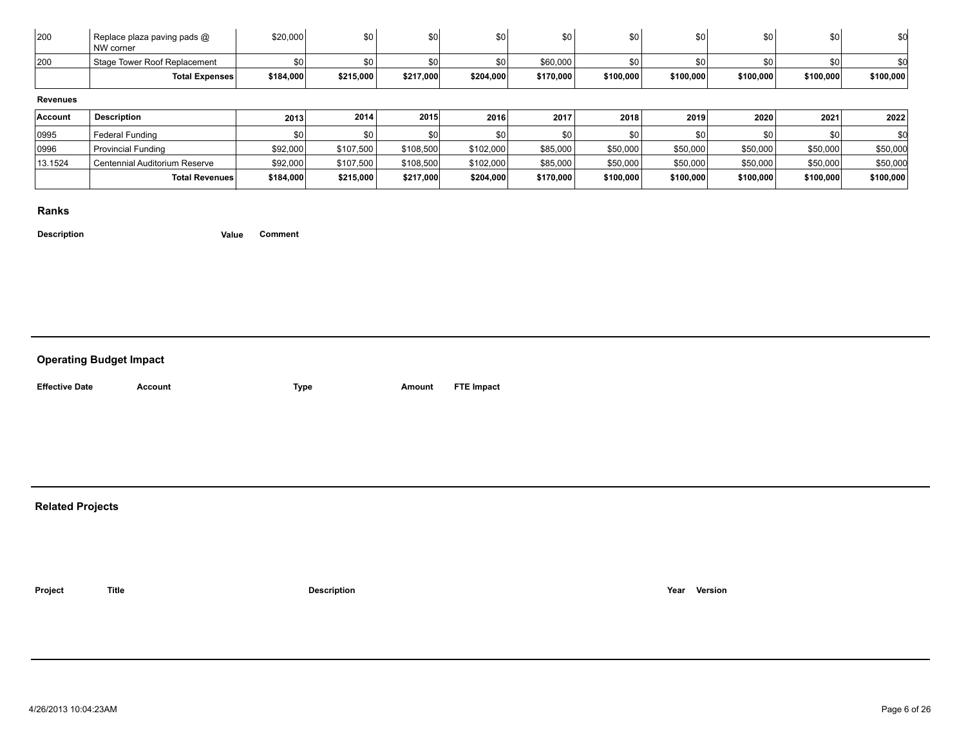| 200             | Replace plaza paving pads @<br>NW corner | \$20,000  | \$0       | \$0       | \$0       | \$0       | \$0       | \$0       | \$0              | \$0       | \$0       |
|-----------------|------------------------------------------|-----------|-----------|-----------|-----------|-----------|-----------|-----------|------------------|-----------|-----------|
| 200             | Stage Tower Roof Replacement             | \$0       | \$0       | \$0       | \$0       | \$60,000  | \$0       | \$0       | \$0              | \$0       |           |
|                 | <b>Total Expenses</b>                    | \$184,000 | \$215,000 | \$217,000 | \$204,000 | \$170,000 | \$100,000 | \$100,000 | \$100,000        | \$100,000 | \$100,000 |
|                 |                                          |           |           |           |           |           |           |           |                  |           |           |
| <b>Revenues</b> |                                          |           |           |           |           |           |           |           |                  |           |           |
| Account         | <b>Description</b>                       | 2013      | 2014      | 2015      | 2016      | 2017      | 2018      | 2019      | 2020             | 2021      | 2022      |
| 0995            | <b>Federal Funding</b>                   | \$0       | \$0       | \$0       | \$0       | \$0       | \$0       | \$0       | \$0 <sub>1</sub> | \$0       |           |
| 0996            | <b>Provincial Funding</b>                | \$92,000  | \$107,500 | \$108,500 | \$102,000 | \$85,000  | \$50,000  | \$50,000  | \$50,000         | \$50,000  | \$50,000  |
| 13.1524         | Centennial Auditorium Reserve            | \$92,000  | \$107,500 | \$108,500 | \$102,000 | \$85,000  | \$50,000  | \$50,000  | \$50,000         | \$50,000  | \$50,000  |

#### **Ranks**

**Description Value Comment**

### **Operating Budget Impact**

| <b>Effective Date</b> |  |
|-----------------------|--|

**Account ETE Impact Amount FTE Impact** 

### **Related Projects**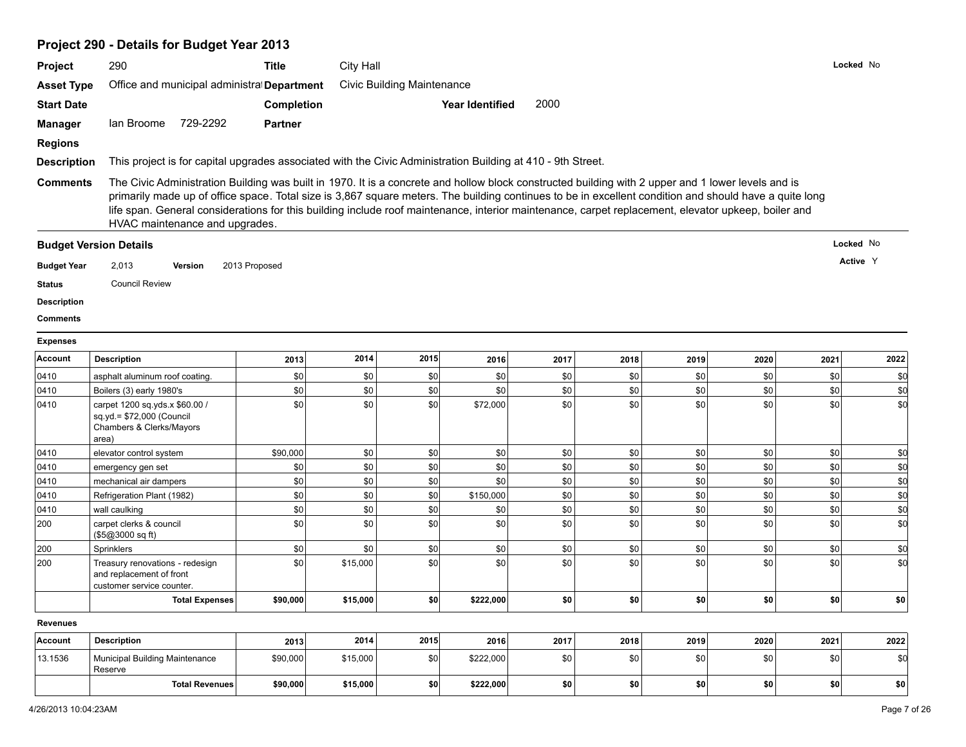# **Project 290 - Details for Budget Year 2013**

| Project            | 290                                                                                                                                                                                                                                                                                                                                             | <b>Title</b>      | City Hall |                                   |                        |      |      |      |      |      | Locked No |
|--------------------|-------------------------------------------------------------------------------------------------------------------------------------------------------------------------------------------------------------------------------------------------------------------------------------------------------------------------------------------------|-------------------|-----------|-----------------------------------|------------------------|------|------|------|------|------|-----------|
| <b>Asset Type</b>  | Office and municipal administral Department                                                                                                                                                                                                                                                                                                     |                   |           | <b>Civic Building Maintenance</b> |                        |      |      |      |      |      |           |
| <b>Start Date</b>  |                                                                                                                                                                                                                                                                                                                                                 | <b>Completion</b> |           |                                   | <b>Year Identified</b> | 2000 |      |      |      |      |           |
| Manager            | lan Broome 729-2292                                                                                                                                                                                                                                                                                                                             | <b>Partner</b>    |           |                                   |                        |      |      |      |      |      |           |
| <b>Regions</b>     |                                                                                                                                                                                                                                                                                                                                                 |                   |           |                                   |                        |      |      |      |      |      |           |
| <b>Description</b> | This project is for capital upgrades associated with the Civic Administration Building at 410 - 9th Street.                                                                                                                                                                                                                                     |                   |           |                                   |                        |      |      |      |      |      |           |
| <b>Comments</b>    | The Civic Administration Building was built in 1970. It is a concrete and hollow block constructed building with 2 upper and 1 lower levels and is                                                                                                                                                                                              |                   |           |                                   |                        |      |      |      |      |      |           |
|                    | primarily made up of office space. Total size is 3,867 square meters. The building continues to be in excellent condition and should have a quite long<br>life span. General considerations for this building include roof maintenance, interior maintenance, carpet replacement, elevator upkeep, boiler and<br>HVAC maintenance and upgrades. |                   |           |                                   |                        |      |      |      |      |      |           |
|                    | <b>Budget Version Details</b>                                                                                                                                                                                                                                                                                                                   |                   |           |                                   |                        |      |      |      |      |      | Locked No |
| <b>Budget Year</b> | 2,013<br>Version                                                                                                                                                                                                                                                                                                                                | 2013 Proposed     |           |                                   |                        |      |      |      |      |      | Active Y  |
| <b>Status</b>      | <b>Council Review</b>                                                                                                                                                                                                                                                                                                                           |                   |           |                                   |                        |      |      |      |      |      |           |
| <b>Description</b> |                                                                                                                                                                                                                                                                                                                                                 |                   |           |                                   |                        |      |      |      |      |      |           |
| <b>Comments</b>    |                                                                                                                                                                                                                                                                                                                                                 |                   |           |                                   |                        |      |      |      |      |      |           |
| <b>Expenses</b>    |                                                                                                                                                                                                                                                                                                                                                 |                   |           |                                   |                        |      |      |      |      |      |           |
| <b>Account</b>     | <b>Description</b>                                                                                                                                                                                                                                                                                                                              | 2013              | 2014      | 2015                              | 2016                   | 2017 | 2018 | 2019 | 2020 | 2021 | 2022      |
| 0410               | asphalt aluminum roof coating.                                                                                                                                                                                                                                                                                                                  | \$0               | \$0       | \$0                               | \$0                    | \$0  | \$0  | \$0  | \$0  | \$0  | \$0       |
| 0410               | Boilers (3) early 1980's                                                                                                                                                                                                                                                                                                                        | \$0               | \$0       | \$0                               | \$0                    | \$0  | \$0  | \$0  | \$0  | \$0  | \$d       |
| 0410               | carpet 1200 sq.yds.x \$60.00 /<br>sq.yd.= \$72,000 (Council<br>Chambers & Clerks/Mayors<br>area)                                                                                                                                                                                                                                                | \$0               | \$0       | \$0                               | \$72,000               | \$0  | \$0  | \$0  | \$0  | \$0  | \$0       |
| 0410               | elevator control system                                                                                                                                                                                                                                                                                                                         | \$90,000          | \$0       | \$0                               | \$0                    | \$0  | \$0  | \$0  | \$0  | \$0  | \$0       |
| 0410               | emergency gen set                                                                                                                                                                                                                                                                                                                               | \$0               | \$0       | \$0                               | \$0                    | \$0  | \$0  | \$0  | \$0  | \$0  | \$d       |
| 0410               | mechanical air dampers                                                                                                                                                                                                                                                                                                                          | \$0               | \$0       | \$0                               | \$0                    | \$0  | \$0  | \$0  | \$0  | \$0  | \$d       |
| 0410               | Refrigeration Plant (1982)                                                                                                                                                                                                                                                                                                                      | \$0               | \$0       | \$0                               | \$150,000              | \$0  | \$0  | \$0  | \$0  | \$0  | \$d       |
| 0410               | wall caulking                                                                                                                                                                                                                                                                                                                                   | \$0               | \$0       | 30                                | \$0                    | \$0  | \$0  | \$0  | \$0  | \$0  | \$d       |
| 200                | carpet clerks & council<br>(\$5@3000 sq ft)                                                                                                                                                                                                                                                                                                     | \$0               | \$0       | 30                                | \$0                    | \$0  | \$0  | \$0  | \$0  | \$0  | \$d       |
| 200                | Sprinklers                                                                                                                                                                                                                                                                                                                                      | \$0               | \$0       | \$0                               | \$0                    | \$0  | \$0  | \$0  | \$0  | \$0  | \$d       |
| 200                | Treasury renovations - redesign<br>and replacement of front<br>customer service counter.                                                                                                                                                                                                                                                        | \$0               | \$15,000  | 30                                | \$0                    | \$0  | \$0  | \$0  | \$0  | \$0  | \$d       |
|                    | <b>Total Expenses</b>                                                                                                                                                                                                                                                                                                                           | \$90,000          | \$15,000  | \$0                               | \$222,000              | \$0  | \$0  | \$0  | \$0  | \$0  | \$0       |
| Revenues           |                                                                                                                                                                                                                                                                                                                                                 |                   |           |                                   |                        |      |      |      |      |      |           |
| <b>Account</b>     | <b>Description</b>                                                                                                                                                                                                                                                                                                                              | 2013              | 2014      | 2015                              | 2016                   | 2017 | 2018 | 2019 | 2020 | 2021 | 2022      |
| 13.1536            | Municipal Building Maintenance<br>Reserve                                                                                                                                                                                                                                                                                                       | \$90,000          | \$15,000  | \$0                               | \$222,000              | \$0  | \$0  | \$0  | \$0  | \$0  | \$d       |
|                    | <b>Total Revenues</b>                                                                                                                                                                                                                                                                                                                           | \$90,000          | \$15,000  | \$0                               | \$222,000              | \$0  | \$0  | \$0  | \$0  | \$0  | sol       |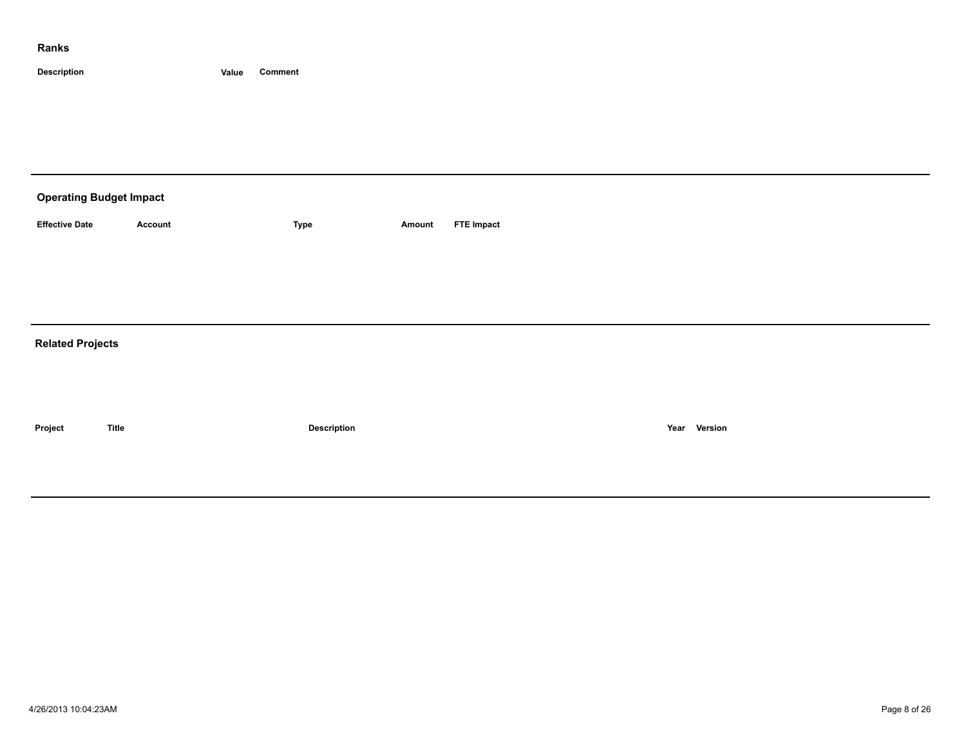| <b>Operating Budget Impact</b> |              |             |        |                   |      |         |  |  |  |  |
|--------------------------------|--------------|-------------|--------|-------------------|------|---------|--|--|--|--|
| <b>Effective Date</b>          | Account      | <b>Type</b> | Amount | <b>FTE Impact</b> |      |         |  |  |  |  |
|                                |              |             |        |                   |      |         |  |  |  |  |
|                                |              |             |        |                   |      |         |  |  |  |  |
| <b>Related Projects</b>        |              |             |        |                   |      |         |  |  |  |  |
|                                |              |             |        |                   |      |         |  |  |  |  |
|                                |              |             |        |                   |      |         |  |  |  |  |
| Project                        | <b>Title</b> | Description |        |                   | Year | Version |  |  |  |  |
|                                |              |             |        |                   |      |         |  |  |  |  |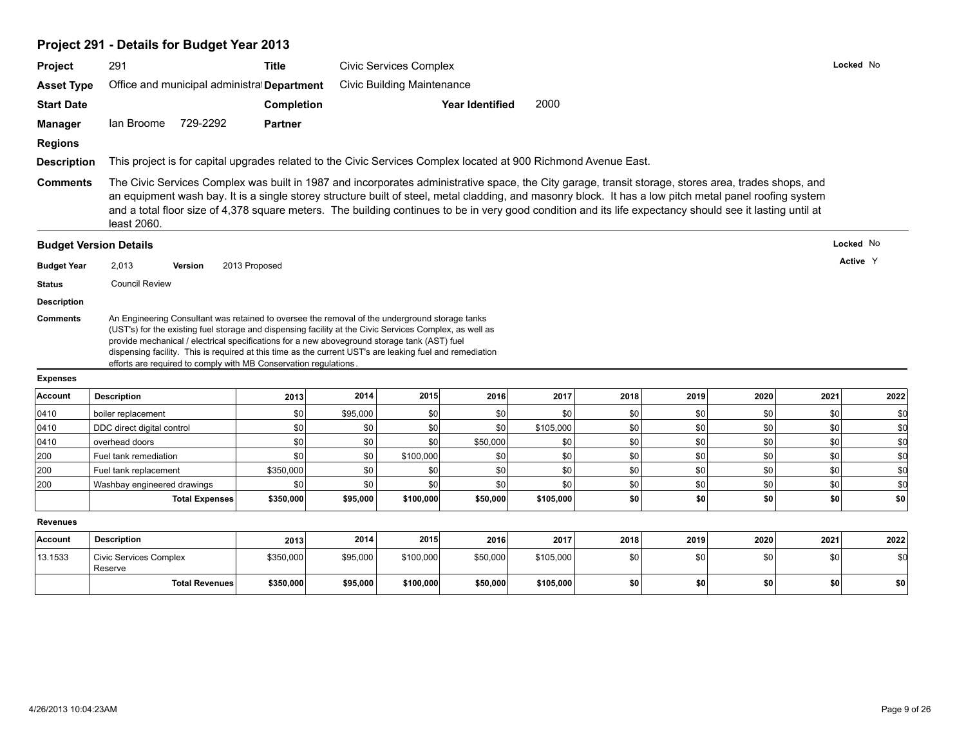# **Project 291 - Details for Budget Year 2013**

|                                       | 291                                                                                                                                                                                                                                                                                                                                 | <b>Title</b>   | <b>Civic Services Complex</b> |                                   |                        |                  |            |            |            |            | Locked No  |  |
|---------------------------------------|-------------------------------------------------------------------------------------------------------------------------------------------------------------------------------------------------------------------------------------------------------------------------------------------------------------------------------------|----------------|-------------------------------|-----------------------------------|------------------------|------------------|------------|------------|------------|------------|------------|--|
| <b>Asset Type</b>                     | Office and municipal administral Department                                                                                                                                                                                                                                                                                         |                |                               | <b>Civic Building Maintenance</b> |                        |                  |            |            |            |            |            |  |
| <b>Start Date</b>                     |                                                                                                                                                                                                                                                                                                                                     | Completion     |                               |                                   | <b>Year Identified</b> | 2000             |            |            |            |            |            |  |
| Manager                               | 729-2292<br>lan Broome                                                                                                                                                                                                                                                                                                              | <b>Partner</b> |                               |                                   |                        |                  |            |            |            |            |            |  |
| <b>Regions</b>                        |                                                                                                                                                                                                                                                                                                                                     |                |                               |                                   |                        |                  |            |            |            |            |            |  |
| <b>Description</b>                    |                                                                                                                                                                                                                                                                                                                                     |                |                               |                                   |                        |                  |            |            |            |            |            |  |
|                                       | This project is for capital upgrades related to the Civic Services Complex located at 900 Richmond Avenue East.<br>The Civic Services Complex was built in 1987 and incorporates administrative space, the City garage, transit storage, stores area, trades shops, and                                                             |                |                               |                                   |                        |                  |            |            |            |            |            |  |
| <b>Comments</b>                       | an equipment wash bay. It is a single storey structure built of steel, metal cladding, and masonry block. It has a low pitch metal panel roofing system<br>and a total floor size of 4,378 square meters. The building continues to be in very good condition and its life expectancy should see it lasting until at<br>least 2060. |                |                               |                                   |                        |                  |            |            |            |            |            |  |
|                                       | <b>Budget Version Details</b>                                                                                                                                                                                                                                                                                                       |                |                               |                                   |                        |                  |            |            |            |            | Locked No  |  |
| <b>Budget Year</b>                    | 2,013<br>Version                                                                                                                                                                                                                                                                                                                    | 2013 Proposed  |                               |                                   |                        |                  |            |            |            |            | Active Y   |  |
| <b>Status</b>                         | <b>Council Review</b>                                                                                                                                                                                                                                                                                                               |                |                               |                                   |                        |                  |            |            |            |            |            |  |
|                                       |                                                                                                                                                                                                                                                                                                                                     |                |                               |                                   |                        |                  |            |            |            |            |            |  |
|                                       | An Engineering Consultant was retained to oversee the removal of the underground storage tanks<br>(UST's) for the existing fuel storage and dispensing facility at the Civic Services Complex, as well as                                                                                                                           |                |                               |                                   |                        |                  |            |            |            |            |            |  |
| <b>Description</b><br><b>Comments</b> | provide mechanical / electrical specifications for a new aboveground storage tank (AST) fuel<br>dispensing facility. This is required at this time as the current UST's are leaking fuel and remediation<br>efforts are required to comply with MB Conservation regulations.                                                        |                |                               |                                   |                        |                  |            |            |            |            |            |  |
| <b>Expenses</b>                       |                                                                                                                                                                                                                                                                                                                                     |                |                               |                                   |                        |                  |            |            |            |            |            |  |
| Account                               | <b>Description</b>                                                                                                                                                                                                                                                                                                                  | 2013           | 2014                          | 2015                              | 2016                   | 2017             | 2018       | 2019       | 2020       | 2021       | 2022       |  |
| 0410                                  | boiler replacement                                                                                                                                                                                                                                                                                                                  | \$0            | \$95,000                      | \$0                               | \$0                    | \$0              | \$0        | \$0        | \$0        | \$0        | \$d        |  |
| 0410<br>0410                          | DDC direct digital control<br>overhead doors                                                                                                                                                                                                                                                                                        | \$0<br>\$0     | \$0<br>\$0                    | \$0 <br>$ $ so                    | \$0<br>\$50,000        | \$105,000<br>\$0 | \$0<br>\$0 | \$0<br>\$0 | \$0<br>\$0 | \$0<br>\$0 | \$d<br>\$d |  |
| 200                                   | Fuel tank remediation                                                                                                                                                                                                                                                                                                               | \$0            | \$0                           | \$100,000                         | \$0                    | \$0              | \$0        | \$0        | \$0        | \$0        | \$d        |  |
| 200                                   | Fuel tank replacement                                                                                                                                                                                                                                                                                                               | \$350,000      | \$0                           | 30                                | \$0                    | \$0              | \$0        | \$0        | \$0        | \$0        | \$d        |  |
| 200                                   | Washbay engineered drawings                                                                                                                                                                                                                                                                                                         | \$0            | \$0                           | $ $ so                            | \$0                    | $s$ <sub>0</sub> | \$0        | \$0        | \$0        | \$0        | \$d        |  |
|                                       | <b>Total Expenses</b>                                                                                                                                                                                                                                                                                                               | \$350,000      | \$95,000                      | \$100,000                         | \$50,000               | \$105,000        | \$0        | \$0        | \$0        | \$0        | \$0        |  |
| <b>Revenues</b>                       |                                                                                                                                                                                                                                                                                                                                     |                |                               |                                   |                        |                  |            |            |            |            |            |  |
| Account                               | <b>Description</b>                                                                                                                                                                                                                                                                                                                  | 2013           | 2014                          | 2015                              | 2016                   | 2017             | 2018       | 2019       | 2020       | 2021       | 2022       |  |
| 13.1533                               | <b>Civic Services Complex</b><br>Reserve                                                                                                                                                                                                                                                                                            | \$350,000      | \$95,000                      | \$100,000                         | \$50,000               | \$105,000        | \$0        | \$0        | \$0        | \$0        | \$0        |  |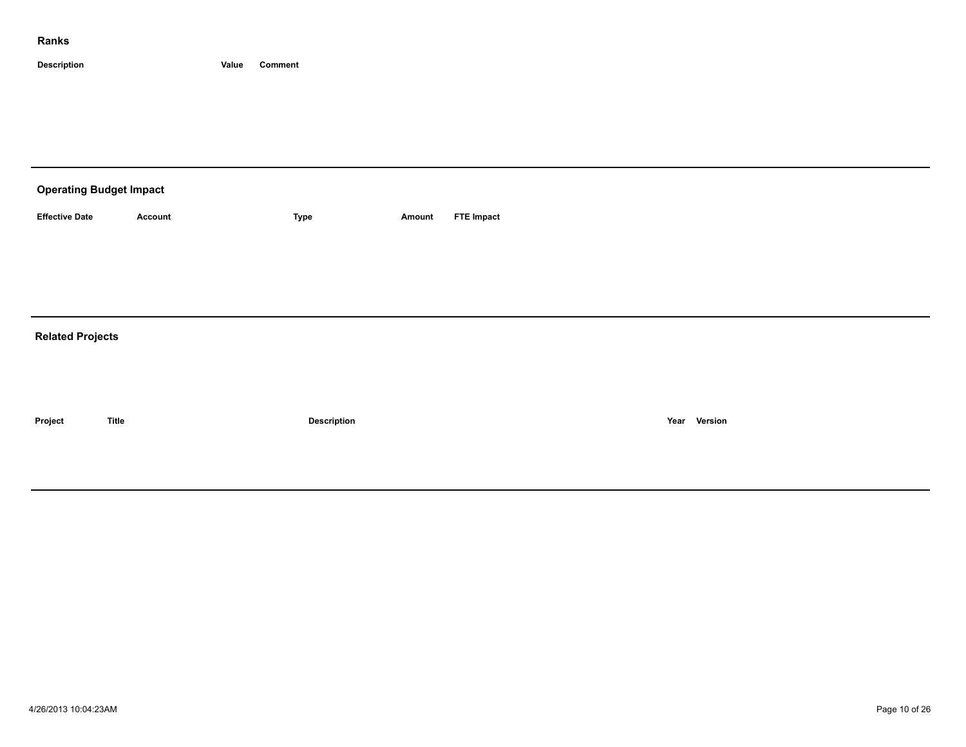| <b>Operating Budget Impact</b> |                |             |        |                   |  |  |  |  |  |  |
|--------------------------------|----------------|-------------|--------|-------------------|--|--|--|--|--|--|
| <b>Effective Date</b>          | <b>Account</b> | Type        | Amount | <b>FTE Impact</b> |  |  |  |  |  |  |
|                                |                |             |        |                   |  |  |  |  |  |  |
|                                |                |             |        |                   |  |  |  |  |  |  |
|                                |                |             |        |                   |  |  |  |  |  |  |
| <b>Related Projects</b>        |                |             |        |                   |  |  |  |  |  |  |
|                                |                |             |        |                   |  |  |  |  |  |  |
|                                |                |             |        |                   |  |  |  |  |  |  |
| Project                        | <b>Title</b>   | Description |        | Year Version      |  |  |  |  |  |  |
|                                |                |             |        |                   |  |  |  |  |  |  |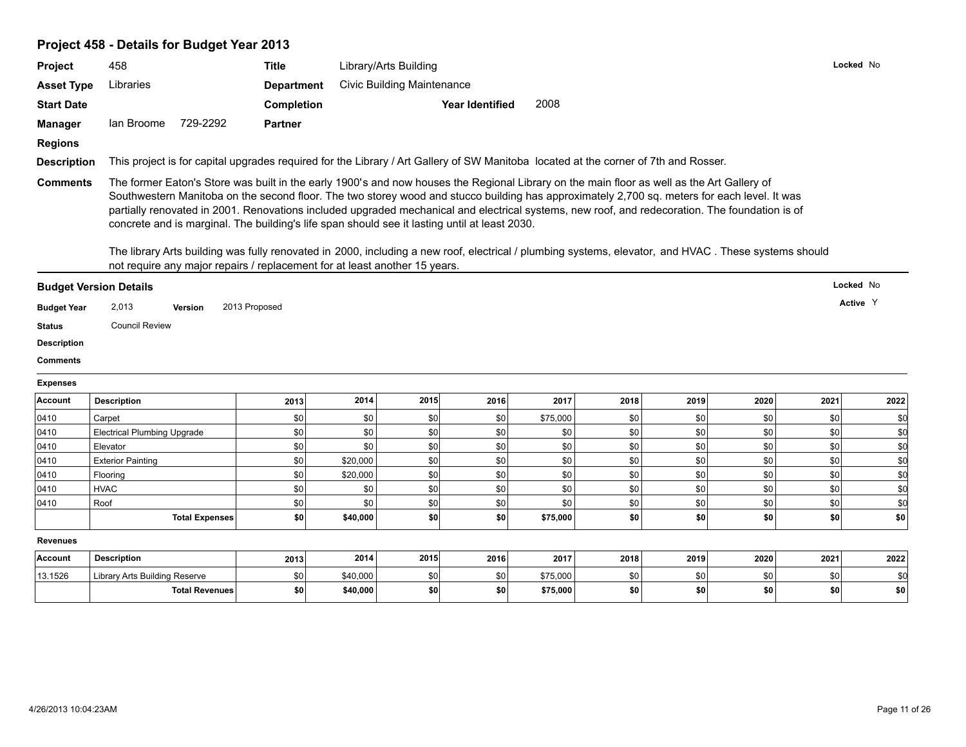# **Project 458 - Details for Budget Year 2013**

| Locked No<br>458<br>Title<br>Library/Arts Building<br><b>Civic Building Maintenance</b><br>Libraries<br><b>Asset Type</b><br><b>Department</b><br>2008<br>Completion<br>Year Identified<br>729-2292<br><b>Partner</b><br><b>Manager</b><br>lan Broome<br><b>Regions</b><br>This project is for capital upgrades required for the Library / Art Gallery of SW Manitoba located at the corner of 7th and Rosser.<br><b>Description</b><br>The former Eaton's Store was built in the early 1900's and now houses the Regional Library on the main floor as well as the Art Gallery of<br><b>Comments</b><br>Southwestern Manitoba on the second floor. The two storey wood and stucco building has approximately 2,700 sq. meters for each level. It was<br>partially renovated in 2001. Renovations included upgraded mechanical and electrical systems, new roof, and redecoration. The foundation is of<br>concrete and is marginal. The building's life span should see it lasting until at least 2030.<br>The library Arts building was fully renovated in 2000, including a new roof, electrical / plumbing systems, elevator, and HVAC. These systems should<br>not require any major repairs / replacement for at least another 15 years.<br>Locked No<br><b>Budget Version Details</b><br>Active Y<br><b>Budget Year</b><br>2,013<br>2013 Proposed<br><b>Version</b><br><b>Council Review</b><br><b>Status</b><br>2014<br>2015<br><b>Description</b><br>2016<br>2017<br>2018<br>2019<br>2020<br>2021<br>2013<br>\$0<br>\$0<br>\$0<br>\$0<br>\$0<br>\$75,000<br>\$0<br>\$0<br>\$0<br>Carpet<br>\$0<br><b>Electrical Plumbing Upgrade</b><br>\$0<br>\$0<br>\$0<br>\$0<br>\$0<br>\$0<br>\$0<br>\$0<br>\$0<br>\$0<br>\$0<br>\$0<br>\$0<br>\$0<br>\$0<br>\$0<br>\$0<br>Elevator<br>\$0<br>\$20,000<br>\$0<br>\$0<br>\$0<br>\$0<br>\$0<br><b>Exterior Painting</b><br>\$0<br>\$0<br>\$0<br>\$0<br>\$0<br>\$0<br>\$0<br>\$0<br>\$0<br>\$0<br>\$20,000<br>Flooring<br>\$0<br>\$0<br>\$0<br>\$0<br>\$0<br>\$0<br>\$0<br><b>HVAC</b><br>\$0<br>\$0<br>\$0<br>\$0<br>\$0<br>\$0<br>\$0<br>\$0<br>\$0<br>\$0<br>\$0<br>\$d<br>Roof<br>$ $ so<br>\$0<br>\$0<br>\$0<br>\$0<br>\$0 <br><b>Total Expenses</b><br>\$40,000<br>\$0 <br>\$75,000<br>\$0<br>2014<br>2015<br><b>Description</b><br>2016<br>2017<br>2019<br>2022<br>2018<br>2020<br>2021<br>2013<br>\$0<br>Library Arts Building Reserve<br>\$0<br>\$40,000<br>\$0<br>\$0<br>\$75,000<br>\$0<br>\$0<br>\$0<br>\$d<br>\$0 <br>\$0<br>\$0<br>\$0<br>\$0<br>\$0<br>\$0<br>\$0<br><b>Total Revenues</b><br>\$40,000<br>\$75,000 | <b>Project</b>     |  |  |  |  |  |      |
|-----------------------------------------------------------------------------------------------------------------------------------------------------------------------------------------------------------------------------------------------------------------------------------------------------------------------------------------------------------------------------------------------------------------------------------------------------------------------------------------------------------------------------------------------------------------------------------------------------------------------------------------------------------------------------------------------------------------------------------------------------------------------------------------------------------------------------------------------------------------------------------------------------------------------------------------------------------------------------------------------------------------------------------------------------------------------------------------------------------------------------------------------------------------------------------------------------------------------------------------------------------------------------------------------------------------------------------------------------------------------------------------------------------------------------------------------------------------------------------------------------------------------------------------------------------------------------------------------------------------------------------------------------------------------------------------------------------------------------------------------------------------------------------------------------------------------------------------------------------------------------------------------------------------------------------------------------------------------------------------------------------------------------------------------------------------------------------------------------------------------------------------------------------------------------------------------------------------------------------------------------------------------------------------------------------------------------------------------------------------------------------------------------------------------------------------------------------------------------------------------------------------------------------------------------------------------------|--------------------|--|--|--|--|--|------|
|                                                                                                                                                                                                                                                                                                                                                                                                                                                                                                                                                                                                                                                                                                                                                                                                                                                                                                                                                                                                                                                                                                                                                                                                                                                                                                                                                                                                                                                                                                                                                                                                                                                                                                                                                                                                                                                                                                                                                                                                                                                                                                                                                                                                                                                                                                                                                                                                                                                                                                                                                                             |                    |  |  |  |  |  |      |
|                                                                                                                                                                                                                                                                                                                                                                                                                                                                                                                                                                                                                                                                                                                                                                                                                                                                                                                                                                                                                                                                                                                                                                                                                                                                                                                                                                                                                                                                                                                                                                                                                                                                                                                                                                                                                                                                                                                                                                                                                                                                                                                                                                                                                                                                                                                                                                                                                                                                                                                                                                             |                    |  |  |  |  |  |      |
|                                                                                                                                                                                                                                                                                                                                                                                                                                                                                                                                                                                                                                                                                                                                                                                                                                                                                                                                                                                                                                                                                                                                                                                                                                                                                                                                                                                                                                                                                                                                                                                                                                                                                                                                                                                                                                                                                                                                                                                                                                                                                                                                                                                                                                                                                                                                                                                                                                                                                                                                                                             | <b>Start Date</b>  |  |  |  |  |  |      |
|                                                                                                                                                                                                                                                                                                                                                                                                                                                                                                                                                                                                                                                                                                                                                                                                                                                                                                                                                                                                                                                                                                                                                                                                                                                                                                                                                                                                                                                                                                                                                                                                                                                                                                                                                                                                                                                                                                                                                                                                                                                                                                                                                                                                                                                                                                                                                                                                                                                                                                                                                                             |                    |  |  |  |  |  |      |
|                                                                                                                                                                                                                                                                                                                                                                                                                                                                                                                                                                                                                                                                                                                                                                                                                                                                                                                                                                                                                                                                                                                                                                                                                                                                                                                                                                                                                                                                                                                                                                                                                                                                                                                                                                                                                                                                                                                                                                                                                                                                                                                                                                                                                                                                                                                                                                                                                                                                                                                                                                             |                    |  |  |  |  |  |      |
|                                                                                                                                                                                                                                                                                                                                                                                                                                                                                                                                                                                                                                                                                                                                                                                                                                                                                                                                                                                                                                                                                                                                                                                                                                                                                                                                                                                                                                                                                                                                                                                                                                                                                                                                                                                                                                                                                                                                                                                                                                                                                                                                                                                                                                                                                                                                                                                                                                                                                                                                                                             |                    |  |  |  |  |  |      |
|                                                                                                                                                                                                                                                                                                                                                                                                                                                                                                                                                                                                                                                                                                                                                                                                                                                                                                                                                                                                                                                                                                                                                                                                                                                                                                                                                                                                                                                                                                                                                                                                                                                                                                                                                                                                                                                                                                                                                                                                                                                                                                                                                                                                                                                                                                                                                                                                                                                                                                                                                                             |                    |  |  |  |  |  |      |
|                                                                                                                                                                                                                                                                                                                                                                                                                                                                                                                                                                                                                                                                                                                                                                                                                                                                                                                                                                                                                                                                                                                                                                                                                                                                                                                                                                                                                                                                                                                                                                                                                                                                                                                                                                                                                                                                                                                                                                                                                                                                                                                                                                                                                                                                                                                                                                                                                                                                                                                                                                             |                    |  |  |  |  |  |      |
|                                                                                                                                                                                                                                                                                                                                                                                                                                                                                                                                                                                                                                                                                                                                                                                                                                                                                                                                                                                                                                                                                                                                                                                                                                                                                                                                                                                                                                                                                                                                                                                                                                                                                                                                                                                                                                                                                                                                                                                                                                                                                                                                                                                                                                                                                                                                                                                                                                                                                                                                                                             |                    |  |  |  |  |  |      |
|                                                                                                                                                                                                                                                                                                                                                                                                                                                                                                                                                                                                                                                                                                                                                                                                                                                                                                                                                                                                                                                                                                                                                                                                                                                                                                                                                                                                                                                                                                                                                                                                                                                                                                                                                                                                                                                                                                                                                                                                                                                                                                                                                                                                                                                                                                                                                                                                                                                                                                                                                                             |                    |  |  |  |  |  |      |
|                                                                                                                                                                                                                                                                                                                                                                                                                                                                                                                                                                                                                                                                                                                                                                                                                                                                                                                                                                                                                                                                                                                                                                                                                                                                                                                                                                                                                                                                                                                                                                                                                                                                                                                                                                                                                                                                                                                                                                                                                                                                                                                                                                                                                                                                                                                                                                                                                                                                                                                                                                             |                    |  |  |  |  |  |      |
|                                                                                                                                                                                                                                                                                                                                                                                                                                                                                                                                                                                                                                                                                                                                                                                                                                                                                                                                                                                                                                                                                                                                                                                                                                                                                                                                                                                                                                                                                                                                                                                                                                                                                                                                                                                                                                                                                                                                                                                                                                                                                                                                                                                                                                                                                                                                                                                                                                                                                                                                                                             |                    |  |  |  |  |  |      |
|                                                                                                                                                                                                                                                                                                                                                                                                                                                                                                                                                                                                                                                                                                                                                                                                                                                                                                                                                                                                                                                                                                                                                                                                                                                                                                                                                                                                                                                                                                                                                                                                                                                                                                                                                                                                                                                                                                                                                                                                                                                                                                                                                                                                                                                                                                                                                                                                                                                                                                                                                                             |                    |  |  |  |  |  |      |
|                                                                                                                                                                                                                                                                                                                                                                                                                                                                                                                                                                                                                                                                                                                                                                                                                                                                                                                                                                                                                                                                                                                                                                                                                                                                                                                                                                                                                                                                                                                                                                                                                                                                                                                                                                                                                                                                                                                                                                                                                                                                                                                                                                                                                                                                                                                                                                                                                                                                                                                                                                             | <b>Description</b> |  |  |  |  |  |      |
|                                                                                                                                                                                                                                                                                                                                                                                                                                                                                                                                                                                                                                                                                                                                                                                                                                                                                                                                                                                                                                                                                                                                                                                                                                                                                                                                                                                                                                                                                                                                                                                                                                                                                                                                                                                                                                                                                                                                                                                                                                                                                                                                                                                                                                                                                                                                                                                                                                                                                                                                                                             | <b>Comments</b>    |  |  |  |  |  |      |
|                                                                                                                                                                                                                                                                                                                                                                                                                                                                                                                                                                                                                                                                                                                                                                                                                                                                                                                                                                                                                                                                                                                                                                                                                                                                                                                                                                                                                                                                                                                                                                                                                                                                                                                                                                                                                                                                                                                                                                                                                                                                                                                                                                                                                                                                                                                                                                                                                                                                                                                                                                             | <b>Expenses</b>    |  |  |  |  |  |      |
|                                                                                                                                                                                                                                                                                                                                                                                                                                                                                                                                                                                                                                                                                                                                                                                                                                                                                                                                                                                                                                                                                                                                                                                                                                                                                                                                                                                                                                                                                                                                                                                                                                                                                                                                                                                                                                                                                                                                                                                                                                                                                                                                                                                                                                                                                                                                                                                                                                                                                                                                                                             | Account            |  |  |  |  |  | 2022 |
|                                                                                                                                                                                                                                                                                                                                                                                                                                                                                                                                                                                                                                                                                                                                                                                                                                                                                                                                                                                                                                                                                                                                                                                                                                                                                                                                                                                                                                                                                                                                                                                                                                                                                                                                                                                                                                                                                                                                                                                                                                                                                                                                                                                                                                                                                                                                                                                                                                                                                                                                                                             | 0410               |  |  |  |  |  | \$0  |
|                                                                                                                                                                                                                                                                                                                                                                                                                                                                                                                                                                                                                                                                                                                                                                                                                                                                                                                                                                                                                                                                                                                                                                                                                                                                                                                                                                                                                                                                                                                                                                                                                                                                                                                                                                                                                                                                                                                                                                                                                                                                                                                                                                                                                                                                                                                                                                                                                                                                                                                                                                             | 0410               |  |  |  |  |  | \$d  |
|                                                                                                                                                                                                                                                                                                                                                                                                                                                                                                                                                                                                                                                                                                                                                                                                                                                                                                                                                                                                                                                                                                                                                                                                                                                                                                                                                                                                                                                                                                                                                                                                                                                                                                                                                                                                                                                                                                                                                                                                                                                                                                                                                                                                                                                                                                                                                                                                                                                                                                                                                                             | 0410               |  |  |  |  |  | \$d  |
|                                                                                                                                                                                                                                                                                                                                                                                                                                                                                                                                                                                                                                                                                                                                                                                                                                                                                                                                                                                                                                                                                                                                                                                                                                                                                                                                                                                                                                                                                                                                                                                                                                                                                                                                                                                                                                                                                                                                                                                                                                                                                                                                                                                                                                                                                                                                                                                                                                                                                                                                                                             | 0410               |  |  |  |  |  | \$d  |
|                                                                                                                                                                                                                                                                                                                                                                                                                                                                                                                                                                                                                                                                                                                                                                                                                                                                                                                                                                                                                                                                                                                                                                                                                                                                                                                                                                                                                                                                                                                                                                                                                                                                                                                                                                                                                                                                                                                                                                                                                                                                                                                                                                                                                                                                                                                                                                                                                                                                                                                                                                             | 0410               |  |  |  |  |  | \$d  |
|                                                                                                                                                                                                                                                                                                                                                                                                                                                                                                                                                                                                                                                                                                                                                                                                                                                                                                                                                                                                                                                                                                                                                                                                                                                                                                                                                                                                                                                                                                                                                                                                                                                                                                                                                                                                                                                                                                                                                                                                                                                                                                                                                                                                                                                                                                                                                                                                                                                                                                                                                                             | 0410               |  |  |  |  |  | \$d  |
|                                                                                                                                                                                                                                                                                                                                                                                                                                                                                                                                                                                                                                                                                                                                                                                                                                                                                                                                                                                                                                                                                                                                                                                                                                                                                                                                                                                                                                                                                                                                                                                                                                                                                                                                                                                                                                                                                                                                                                                                                                                                                                                                                                                                                                                                                                                                                                                                                                                                                                                                                                             | 0410               |  |  |  |  |  |      |
|                                                                                                                                                                                                                                                                                                                                                                                                                                                                                                                                                                                                                                                                                                                                                                                                                                                                                                                                                                                                                                                                                                                                                                                                                                                                                                                                                                                                                                                                                                                                                                                                                                                                                                                                                                                                                                                                                                                                                                                                                                                                                                                                                                                                                                                                                                                                                                                                                                                                                                                                                                             |                    |  |  |  |  |  |      |
|                                                                                                                                                                                                                                                                                                                                                                                                                                                                                                                                                                                                                                                                                                                                                                                                                                                                                                                                                                                                                                                                                                                                                                                                                                                                                                                                                                                                                                                                                                                                                                                                                                                                                                                                                                                                                                                                                                                                                                                                                                                                                                                                                                                                                                                                                                                                                                                                                                                                                                                                                                             | <b>Revenues</b>    |  |  |  |  |  |      |
|                                                                                                                                                                                                                                                                                                                                                                                                                                                                                                                                                                                                                                                                                                                                                                                                                                                                                                                                                                                                                                                                                                                                                                                                                                                                                                                                                                                                                                                                                                                                                                                                                                                                                                                                                                                                                                                                                                                                                                                                                                                                                                                                                                                                                                                                                                                                                                                                                                                                                                                                                                             | Account            |  |  |  |  |  |      |
|                                                                                                                                                                                                                                                                                                                                                                                                                                                                                                                                                                                                                                                                                                                                                                                                                                                                                                                                                                                                                                                                                                                                                                                                                                                                                                                                                                                                                                                                                                                                                                                                                                                                                                                                                                                                                                                                                                                                                                                                                                                                                                                                                                                                                                                                                                                                                                                                                                                                                                                                                                             | 13.1526            |  |  |  |  |  |      |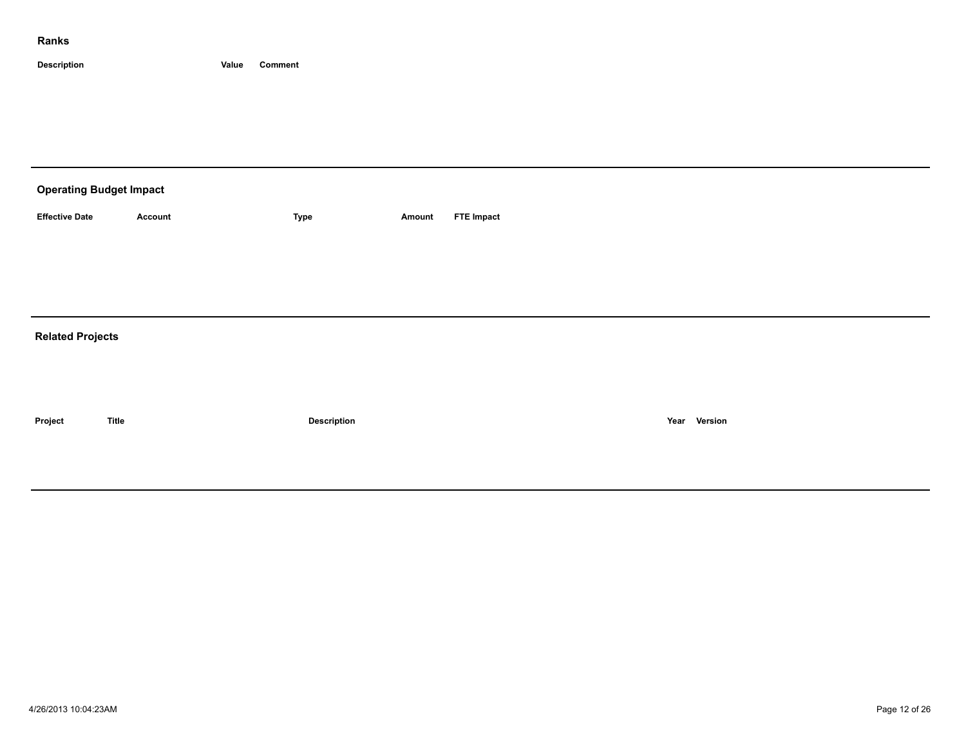| <b>Operating Budget Impact</b> |              |                    |        |                   |              |  |  |  |  |  |
|--------------------------------|--------------|--------------------|--------|-------------------|--------------|--|--|--|--|--|
| <b>Effective Date</b>          | Account      | Type               | Amount | <b>FTE Impact</b> |              |  |  |  |  |  |
|                                |              |                    |        |                   |              |  |  |  |  |  |
|                                |              |                    |        |                   |              |  |  |  |  |  |
|                                |              |                    |        |                   |              |  |  |  |  |  |
| <b>Related Projects</b>        |              |                    |        |                   |              |  |  |  |  |  |
|                                |              |                    |        |                   |              |  |  |  |  |  |
|                                |              |                    |        |                   |              |  |  |  |  |  |
| Project                        | <b>Title</b> | <b>Description</b> |        |                   | Year Version |  |  |  |  |  |
|                                |              |                    |        |                   |              |  |  |  |  |  |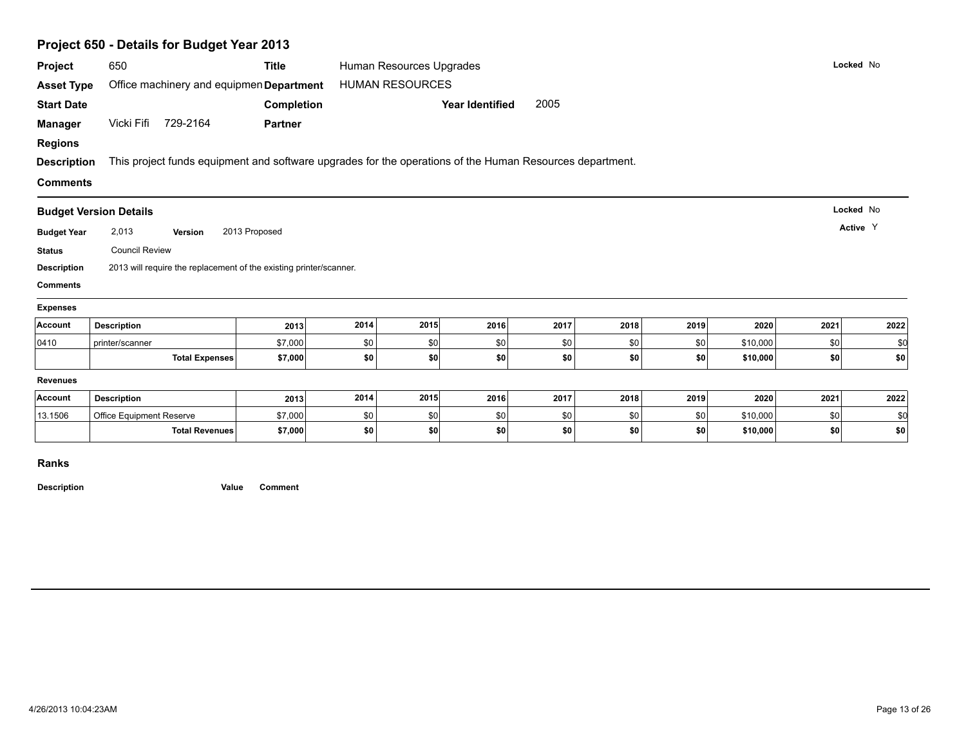|                    | Project 650 - Details for Budget Year 2013                                                               |                |      |                          |                        |      |      |      |          |      |           |
|--------------------|----------------------------------------------------------------------------------------------------------|----------------|------|--------------------------|------------------------|------|------|------|----------|------|-----------|
| Project            | 650                                                                                                      | Title          |      | Human Resources Upgrades |                        |      |      |      |          |      | Locked No |
| <b>Asset Type</b>  | Office machinery and equipmen Department                                                                 |                |      | <b>HUMAN RESOURCES</b>   |                        |      |      |      |          |      |           |
| <b>Start Date</b>  |                                                                                                          | Completion     |      |                          | <b>Year Identified</b> | 2005 |      |      |          |      |           |
| <b>Manager</b>     | Vicki Fifi 729-2164                                                                                      | <b>Partner</b> |      |                          |                        |      |      |      |          |      |           |
| <b>Regions</b>     |                                                                                                          |                |      |                          |                        |      |      |      |          |      |           |
| <b>Description</b> | This project funds equipment and software upgrades for the operations of the Human Resources department. |                |      |                          |                        |      |      |      |          |      |           |
| <b>Comments</b>    |                                                                                                          |                |      |                          |                        |      |      |      |          |      |           |
|                    |                                                                                                          |                |      |                          |                        |      |      |      |          |      | Locked No |
|                    | <b>Budget Version Details</b>                                                                            |                |      |                          |                        |      |      |      |          |      |           |
| <b>Budget Year</b> | 2,013<br>Version                                                                                         | 2013 Proposed  |      |                          |                        |      |      |      |          |      | Active Y  |
| <b>Status</b>      | <b>Council Review</b>                                                                                    |                |      |                          |                        |      |      |      |          |      |           |
| <b>Description</b> | 2013 will require the replacement of the existing printer/scanner.                                       |                |      |                          |                        |      |      |      |          |      |           |
| <b>Comments</b>    |                                                                                                          |                |      |                          |                        |      |      |      |          |      |           |
| <b>Expenses</b>    |                                                                                                          |                |      |                          |                        |      |      |      |          |      |           |
| Account            | <b>Description</b>                                                                                       | 2013           | 2014 | 2015                     | 2016                   | 2017 | 2018 | 2019 | 2020     | 2021 | 2022      |
| 0410               | printer/scanner                                                                                          | \$7,000        | \$0  | \$0                      | \$0                    | \$0  | \$0  | \$0  | \$10,000 | \$0  | \$0       |
|                    | <b>Total Expenses</b>                                                                                    | \$7,000        | \$0  | \$0                      | \$0                    | \$0  | \$0  | \$0  | \$10,000 | \$0  | \$0       |
| Revenues           |                                                                                                          |                |      |                          |                        |      |      |      |          |      |           |
| Account            | <b>Description</b>                                                                                       | 2013           | 2014 | 2015                     | 2016                   | 2017 | 2018 | 2019 | 2020     | 2021 | 2022      |
| 13.1506            | Office Equipment Reserve                                                                                 | \$7,000        | \$0  | \$0                      | \$0                    | \$0  | \$0  | \$0  | \$10,000 | \$0  | \$d       |

**Total Revenues \$7,000 \$0 \$0 \$0 \$0 \$0 \$0 \$10,000 \$0 \$0**

### **Ranks**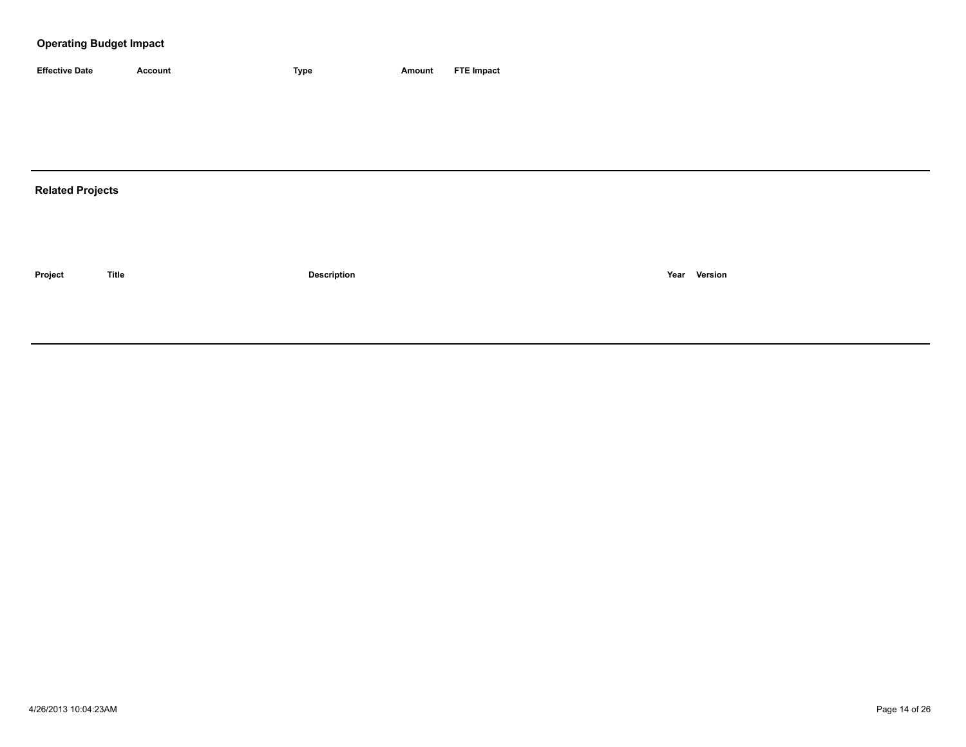## **Operating Budget Impact**

| <b>Effective Date</b> | Account | <b>Type</b> | Amount | <b>FTE Impact</b> |
|-----------------------|---------|-------------|--------|-------------------|

## **Related Projects**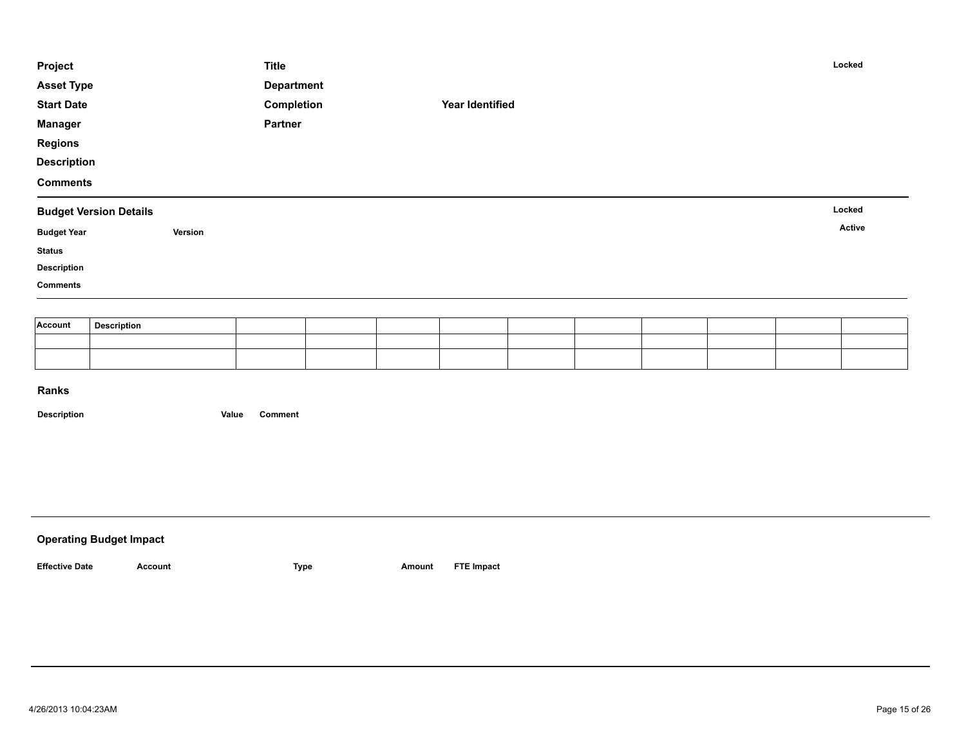| Project            |                               | <b>Title</b>      |  |                 |  |  | Locked |
|--------------------|-------------------------------|-------------------|--|-----------------|--|--|--------|
| <b>Asset Type</b>  |                               | <b>Department</b> |  |                 |  |  |        |
| <b>Start Date</b>  |                               | Completion        |  | Year Identified |  |  |        |
| <b>Manager</b>     |                               | Partner           |  |                 |  |  |        |
| <b>Regions</b>     |                               |                   |  |                 |  |  |        |
| <b>Description</b> |                               |                   |  |                 |  |  |        |
| <b>Comments</b>    |                               |                   |  |                 |  |  |        |
|                    |                               |                   |  |                 |  |  |        |
|                    | <b>Budget Version Details</b> |                   |  |                 |  |  | Locked |
| <b>Budget Year</b> | Version                       |                   |  |                 |  |  | Active |
| <b>Status</b>      |                               |                   |  |                 |  |  |        |
| <b>Description</b> |                               |                   |  |                 |  |  |        |
| <b>Comments</b>    |                               |                   |  |                 |  |  |        |
|                    |                               |                   |  |                 |  |  |        |
| Account            | <b>Description</b>            |                   |  |                 |  |  |        |

| <b>Operating Budget Impact</b> |         |      |        |                   |
|--------------------------------|---------|------|--------|-------------------|
| <b>Effective Date</b>          | Account | Type | Amount | <b>FTE Impact</b> |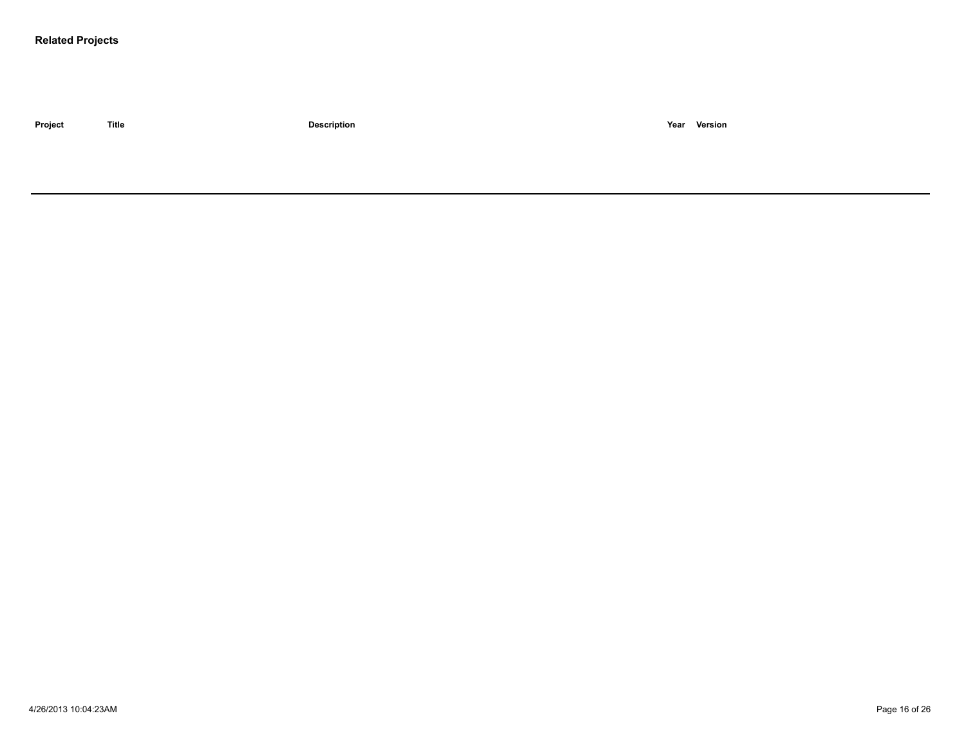### **Related Projects**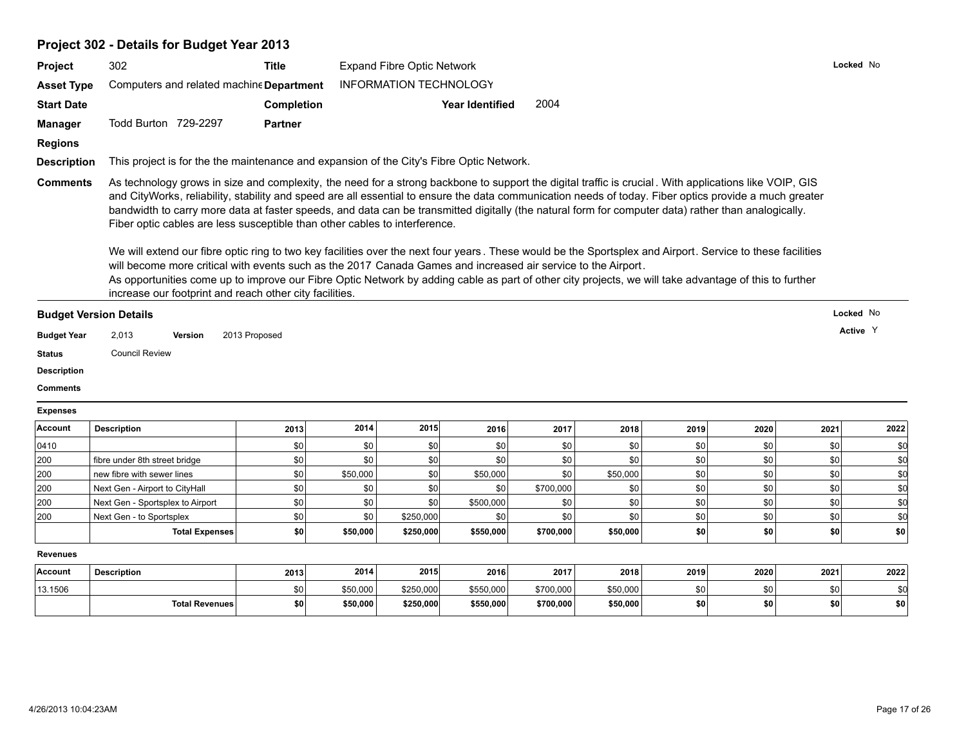## **Project 302 - Details for Budget Year 2013**

|                                       | 302                                                                                                                                                                                                                                                                                                                                                                                                                                                                                                                                                                                                                                                                                                                                                                                                                                  | <b>Title</b>      |                      | <b>Expand Fibre Optic Network</b> |                        |                        |                      |            |                  | Locked No  |            |
|---------------------------------------|--------------------------------------------------------------------------------------------------------------------------------------------------------------------------------------------------------------------------------------------------------------------------------------------------------------------------------------------------------------------------------------------------------------------------------------------------------------------------------------------------------------------------------------------------------------------------------------------------------------------------------------------------------------------------------------------------------------------------------------------------------------------------------------------------------------------------------------|-------------------|----------------------|-----------------------------------|------------------------|------------------------|----------------------|------------|------------------|------------|------------|
| <b>Asset Type</b>                     | Computers and related machine Department                                                                                                                                                                                                                                                                                                                                                                                                                                                                                                                                                                                                                                                                                                                                                                                             |                   |                      | <b>INFORMATION TECHNOLOGY</b>     |                        |                        |                      |            |                  |            |            |
| <b>Start Date</b>                     |                                                                                                                                                                                                                                                                                                                                                                                                                                                                                                                                                                                                                                                                                                                                                                                                                                      | <b>Completion</b> |                      |                                   | <b>Year Identified</b> | 2004                   |                      |            |                  |            |            |
| <b>Manager</b>                        | Todd Burton 729-2297                                                                                                                                                                                                                                                                                                                                                                                                                                                                                                                                                                                                                                                                                                                                                                                                                 | <b>Partner</b>    |                      |                                   |                        |                        |                      |            |                  |            |            |
|                                       |                                                                                                                                                                                                                                                                                                                                                                                                                                                                                                                                                                                                                                                                                                                                                                                                                                      |                   |                      |                                   |                        |                        |                      |            |                  |            |            |
| <b>Regions</b>                        |                                                                                                                                                                                                                                                                                                                                                                                                                                                                                                                                                                                                                                                                                                                                                                                                                                      |                   |                      |                                   |                        |                        |                      |            |                  |            |            |
| <b>Description</b>                    | This project is for the the maintenance and expansion of the City's Fibre Optic Network.                                                                                                                                                                                                                                                                                                                                                                                                                                                                                                                                                                                                                                                                                                                                             |                   |                      |                                   |                        |                        |                      |            |                  |            |            |
| <b>Comments</b>                       | As technology grows in size and complexity, the need for a strong backbone to support the digital traffic is crucial. With applications like VOIP, GIS<br>and CityWorks, reliability, stability and speed are all essential to ensure the data communication needs of today. Fiber optics provide a much greater<br>bandwidth to carry more data at faster speeds, and data can be transmitted digitally (the natural form for computer data) rather than analogically.<br>Fiber optic cables are less susceptible than other cables to interference.<br>We will extend our fibre optic ring to two key facilities over the next four years. These would be the Sportsplex and Airport. Service to these facilities<br>will become more critical with events such as the 2017 Canada Games and increased air service to the Airport. |                   |                      |                                   |                        |                        |                      |            |                  |            |            |
|                                       | As opportunities come up to improve our Fibre Optic Network by adding cable as part of other city projects, we will take advantage of this to further                                                                                                                                                                                                                                                                                                                                                                                                                                                                                                                                                                                                                                                                                |                   |                      |                                   |                        |                        |                      |            |                  |            |            |
|                                       | increase our footprint and reach other city facilities.                                                                                                                                                                                                                                                                                                                                                                                                                                                                                                                                                                                                                                                                                                                                                                              |                   |                      |                                   |                        |                        |                      |            |                  |            |            |
| <b>Budget Version Details</b>         |                                                                                                                                                                                                                                                                                                                                                                                                                                                                                                                                                                                                                                                                                                                                                                                                                                      |                   |                      |                                   |                        |                        |                      |            |                  | Locked No  |            |
|                                       |                                                                                                                                                                                                                                                                                                                                                                                                                                                                                                                                                                                                                                                                                                                                                                                                                                      |                   |                      |                                   |                        |                        |                      |            |                  |            |            |
|                                       |                                                                                                                                                                                                                                                                                                                                                                                                                                                                                                                                                                                                                                                                                                                                                                                                                                      |                   |                      |                                   |                        |                        |                      |            |                  | Active Y   |            |
| <b>Budget Year</b>                    | 2,013<br>Version                                                                                                                                                                                                                                                                                                                                                                                                                                                                                                                                                                                                                                                                                                                                                                                                                     | 2013 Proposed     |                      |                                   |                        |                        |                      |            |                  |            |            |
| <b>Status</b>                         | <b>Council Review</b>                                                                                                                                                                                                                                                                                                                                                                                                                                                                                                                                                                                                                                                                                                                                                                                                                |                   |                      |                                   |                        |                        |                      |            |                  |            |            |
|                                       |                                                                                                                                                                                                                                                                                                                                                                                                                                                                                                                                                                                                                                                                                                                                                                                                                                      |                   |                      |                                   |                        |                        |                      |            |                  |            |            |
| <b>Description</b><br><b>Comments</b> |                                                                                                                                                                                                                                                                                                                                                                                                                                                                                                                                                                                                                                                                                                                                                                                                                                      |                   |                      |                                   |                        |                        |                      |            |                  |            |            |
|                                       |                                                                                                                                                                                                                                                                                                                                                                                                                                                                                                                                                                                                                                                                                                                                                                                                                                      |                   |                      |                                   |                        |                        |                      |            |                  |            |            |
| <b>Expenses</b><br>Account            | <b>Description</b>                                                                                                                                                                                                                                                                                                                                                                                                                                                                                                                                                                                                                                                                                                                                                                                                                   | 2013              | 2014                 | 2015                              | 2016                   | 2017                   | 2018                 | 2019       | 2020             | 2021       | 2022       |
| 0410                                  |                                                                                                                                                                                                                                                                                                                                                                                                                                                                                                                                                                                                                                                                                                                                                                                                                                      | \$0               | \$0                  | \$0                               | \$0                    | \$0                    | \$0                  | \$0        | \$0              | \$0        | \$0        |
| 200                                   | fibre under 8th street bridge                                                                                                                                                                                                                                                                                                                                                                                                                                                                                                                                                                                                                                                                                                                                                                                                        | \$0               | \$0                  | \$0                               | \$0                    | \$0                    | \$0                  | \$0        | \$0              | \$0        | \$d        |
|                                       | new fibre with sewer lines                                                                                                                                                                                                                                                                                                                                                                                                                                                                                                                                                                                                                                                                                                                                                                                                           | \$0               | \$50,000             | \$0                               | \$50,000               | \$0                    | \$50,000             | \$0        | \$0              | \$0        | \$d        |
|                                       | Next Gen - Airport to CityHall                                                                                                                                                                                                                                                                                                                                                                                                                                                                                                                                                                                                                                                                                                                                                                                                       | \$0               | \$0                  | \$0                               | \$0                    | \$700,000              | \$0                  | \$0        | \$0              | \$0        | \$d        |
| 200<br>200<br>200                     | Next Gen - Sportsplex to Airport                                                                                                                                                                                                                                                                                                                                                                                                                                                                                                                                                                                                                                                                                                                                                                                                     | \$0               | \$0                  | \$0                               | \$500,000              | \$0                    | \$0                  | \$0        | \$0              | \$0        | \$d        |
| 200                                   | Next Gen - to Sportsplex                                                                                                                                                                                                                                                                                                                                                                                                                                                                                                                                                                                                                                                                                                                                                                                                             | \$0               | \$0                  | \$250,000                         | \$0                    | \$0                    | \$0                  | \$0        | \$0              | \$0        | \$d        |
|                                       | <b>Total Expenses</b>                                                                                                                                                                                                                                                                                                                                                                                                                                                                                                                                                                                                                                                                                                                                                                                                                | \$0               | \$50,000             | \$250,000                         | \$550,000              | \$700,000              | \$50,000             | \$0        | $s$ <sub>0</sub> | \$0        | \$0        |
| <b>Revenues</b>                       |                                                                                                                                                                                                                                                                                                                                                                                                                                                                                                                                                                                                                                                                                                                                                                                                                                      |                   |                      |                                   |                        |                        |                      |            |                  |            |            |
| <b>Account</b>                        |                                                                                                                                                                                                                                                                                                                                                                                                                                                                                                                                                                                                                                                                                                                                                                                                                                      |                   | 2014                 | 2015                              | 2016                   |                        |                      |            |                  |            | 2022       |
|                                       | <b>Description</b>                                                                                                                                                                                                                                                                                                                                                                                                                                                                                                                                                                                                                                                                                                                                                                                                                   | 2013              |                      |                                   |                        | 2017                   | 2018                 | 2019       | 2020             | 2021       |            |
| 13.1506                               | <b>Total Revenues</b>                                                                                                                                                                                                                                                                                                                                                                                                                                                                                                                                                                                                                                                                                                                                                                                                                | \$0<br>\$0        | \$50,000<br>\$50,000 | \$250,000<br>\$250,000            | \$550,000<br>\$550,000 | \$700,000<br>\$700,000 | \$50,000<br>\$50,000 | \$0<br>\$0 | \$0<br>\$0       | \$0<br>\$0 | \$0<br>\$0 |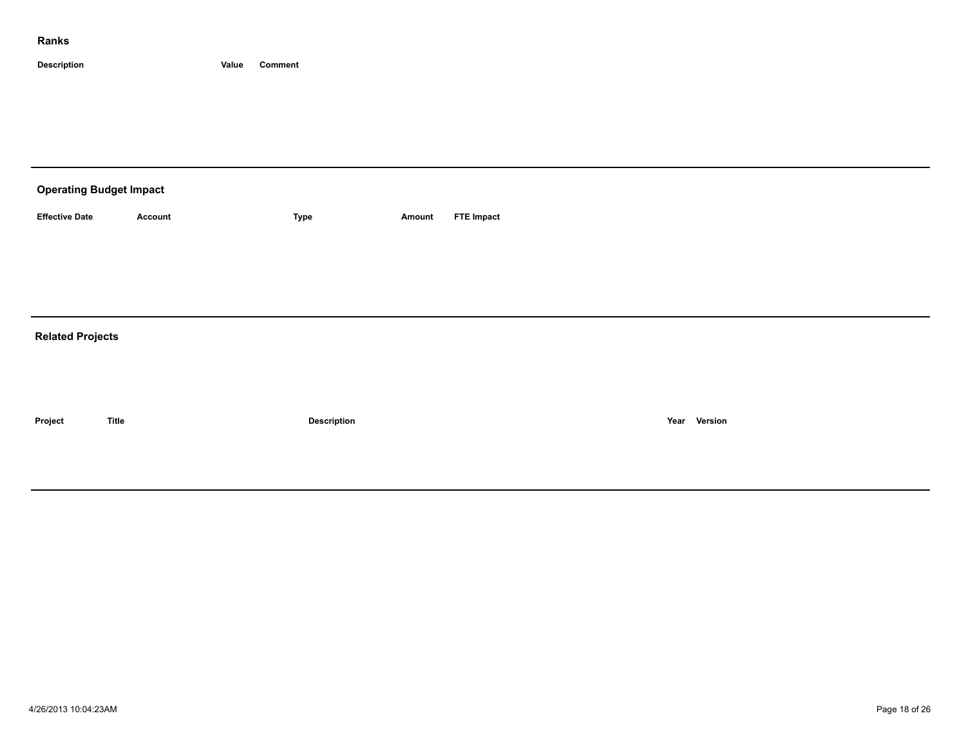| <b>Operating Budget Impact</b> |              |                    |        |                   |              |  |  |  |  |  |
|--------------------------------|--------------|--------------------|--------|-------------------|--------------|--|--|--|--|--|
| <b>Effective Date</b>          | Account      | Type               | Amount | <b>FTE Impact</b> |              |  |  |  |  |  |
|                                |              |                    |        |                   |              |  |  |  |  |  |
|                                |              |                    |        |                   |              |  |  |  |  |  |
|                                |              |                    |        |                   |              |  |  |  |  |  |
| <b>Related Projects</b>        |              |                    |        |                   |              |  |  |  |  |  |
|                                |              |                    |        |                   |              |  |  |  |  |  |
|                                |              |                    |        |                   |              |  |  |  |  |  |
| Project                        | <b>Title</b> | <b>Description</b> |        |                   | Year Version |  |  |  |  |  |
|                                |              |                    |        |                   |              |  |  |  |  |  |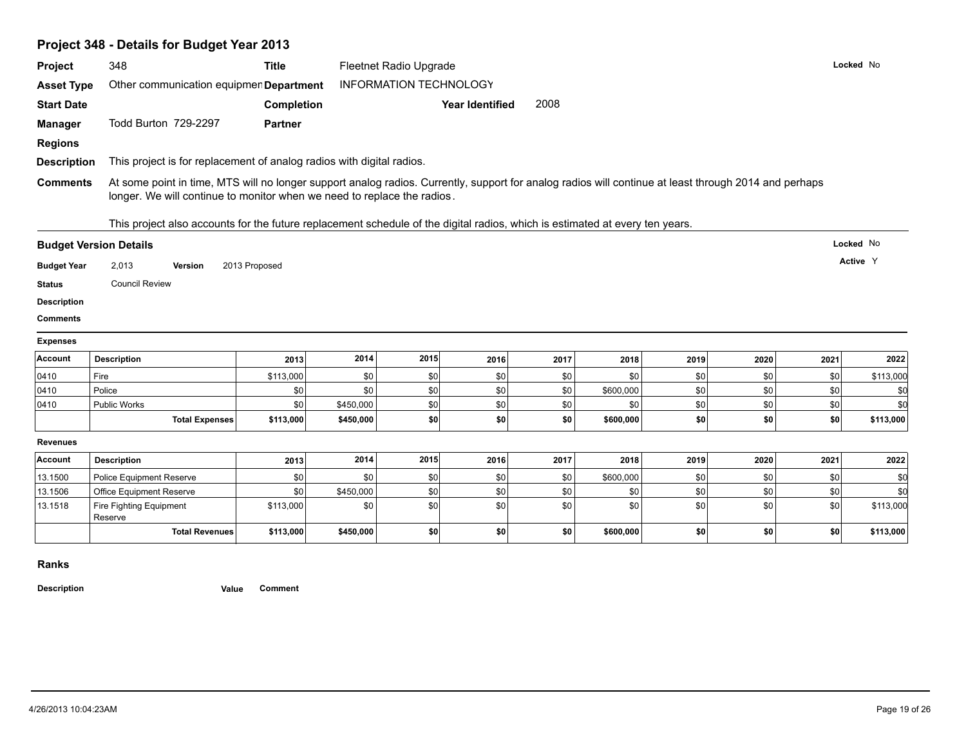# **Project 348 - Details for Budget Year 2013**

| Project            | 348                                                                                                                                                                                                                              | <b>Title</b>      |           | <b>Fleetnet Radio Upgrade</b> |                        |                  |           |      |      |      | Locked No                                    |
|--------------------|----------------------------------------------------------------------------------------------------------------------------------------------------------------------------------------------------------------------------------|-------------------|-----------|-------------------------------|------------------------|------------------|-----------|------|------|------|----------------------------------------------|
| <b>Asset Type</b>  | Other communication equipmen Department                                                                                                                                                                                          |                   |           | <b>INFORMATION TECHNOLOGY</b> |                        |                  |           |      |      |      |                                              |
| <b>Start Date</b>  |                                                                                                                                                                                                                                  | <b>Completion</b> |           |                               | <b>Year Identified</b> | 2008             |           |      |      |      |                                              |
| <b>Manager</b>     | Todd Burton 729-2297                                                                                                                                                                                                             | <b>Partner</b>    |           |                               |                        |                  |           |      |      |      |                                              |
| <b>Regions</b>     |                                                                                                                                                                                                                                  |                   |           |                               |                        |                  |           |      |      |      |                                              |
| <b>Description</b> | This project is for replacement of analog radios with digital radios.                                                                                                                                                            |                   |           |                               |                        |                  |           |      |      |      |                                              |
| <b>Comments</b>    | At some point in time, MTS will no longer support analog radios. Currently, support for analog radios will continue at least through 2014 and perhaps<br>longer. We will continue to monitor when we need to replace the radios. |                   |           |                               |                        |                  |           |      |      |      |                                              |
|                    | This project also accounts for the future replacement schedule of the digital radios, which is estimated at every ten years.                                                                                                     |                   |           |                               |                        |                  |           |      |      |      |                                              |
|                    | <b>Budget Version Details</b>                                                                                                                                                                                                    |                   |           |                               |                        |                  |           |      |      |      | Locked No                                    |
| <b>Budget Year</b> | 2,013<br>Version                                                                                                                                                                                                                 | 2013 Proposed     |           |                               |                        |                  |           |      |      |      | Active Y                                     |
| <b>Status</b>      | <b>Council Review</b>                                                                                                                                                                                                            |                   |           |                               |                        |                  |           |      |      |      |                                              |
| <b>Description</b> |                                                                                                                                                                                                                                  |                   |           |                               |                        |                  |           |      |      |      |                                              |
| <b>Comments</b>    |                                                                                                                                                                                                                                  |                   |           |                               |                        |                  |           |      |      |      |                                              |
| <b>Expenses</b>    |                                                                                                                                                                                                                                  |                   |           |                               |                        |                  |           |      |      |      |                                              |
| Account            | <b>Description</b>                                                                                                                                                                                                               | 2013              |           |                               |                        |                  |           |      |      |      |                                              |
|                    |                                                                                                                                                                                                                                  |                   | 2014      | 2015                          | 2016                   | 2017             | 2018      | 2019 | 2020 | 2021 |                                              |
| 0410               | Fire                                                                                                                                                                                                                             | \$113,000         | \$0       | \$0                           | \$0                    | \$0              | \$0       | \$0  | \$0  | \$0  | 2022<br>\$113,000                            |
| 0410               | Police                                                                                                                                                                                                                           | \$0               | \$0       | $ $ so                        | \$0                    | $s$ <sub>0</sub> | \$600,000 | \$0  | \$0  | \$0  | \$0                                          |
| 0410               | Public Works                                                                                                                                                                                                                     | \$0               | \$450,000 | \$0                           | \$0                    | \$0              | \$0       | \$0  | \$0  | \$0  |                                              |
|                    | <b>Total Expenses</b>                                                                                                                                                                                                            | \$113,000         | \$450,000 | \$0                           | \$0                    | \$0              | \$600,000 | \$0  | \$0  | \$0  | \$d<br>\$113,000                             |
| <b>Revenues</b>    |                                                                                                                                                                                                                                  |                   |           |                               |                        |                  |           |      |      |      |                                              |
| Account            | <b>Description</b>                                                                                                                                                                                                               | 2013              | 2014      | 2015                          | 2016                   | 2017             | 2018      | 2019 | 2020 | 2021 |                                              |
| 13.1500            | <b>Police Equipment Reserve</b>                                                                                                                                                                                                  | \$0               | \$0       | \$0                           | \$0                    | \$0              | \$600,000 | \$0  | \$0  | \$0  |                                              |
| 13.1506            | Office Equipment Reserve                                                                                                                                                                                                         | \$0               | \$450,000 | \$0                           | \$0                    | \$0              | \$0       | \$0  | \$0  | \$0  |                                              |
| 13.1518            | Fire Fighting Equipment<br>Reserve                                                                                                                                                                                               | \$113,000         | \$0       | \$0                           | \$0                    | \$0              | \$0       | \$0  | \$0  | \$0  |                                              |
|                    | <b>Total Revenues</b>                                                                                                                                                                                                            | \$113,000         | \$450,000 | \$0                           | \$0                    | \$0              | \$600,000 | \$0  | so l | \$0  | 2022<br>\$0<br>\$0<br>\$113,000<br>\$113,000 |

#### **Ranks**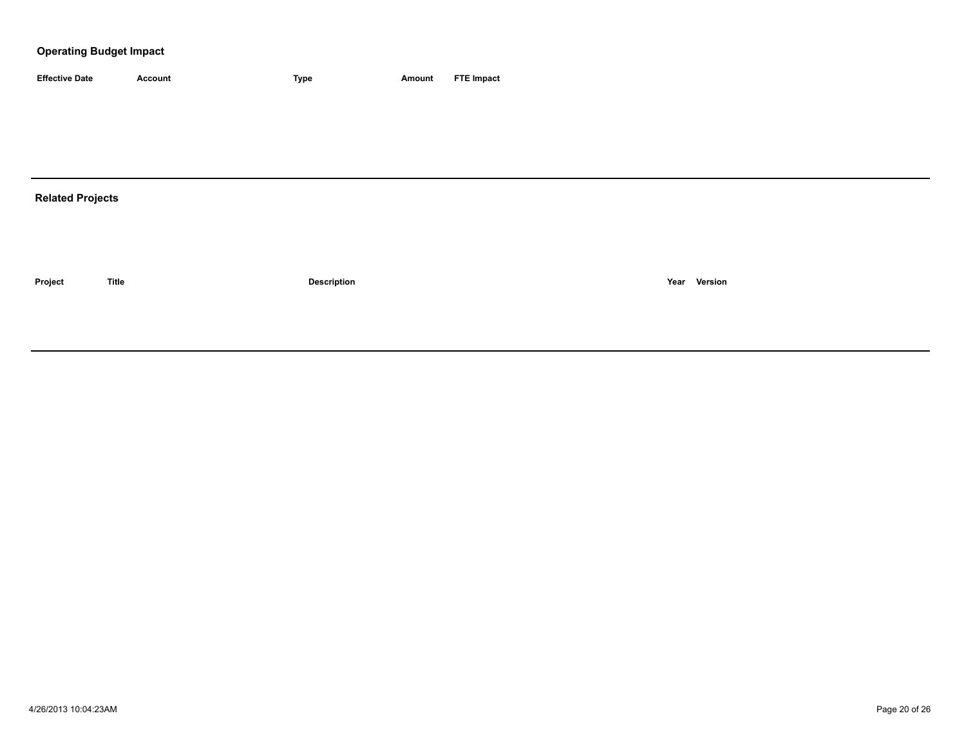### **Operating Budget Impact**

| <b>Effective Date</b>   | <b>Account</b> | Type               | <b>Amount</b> | <b>FTE Impact</b> |
|-------------------------|----------------|--------------------|---------------|-------------------|
|                         |                |                    |               |                   |
|                         |                |                    |               |                   |
|                         |                |                    |               |                   |
|                         |                |                    |               |                   |
| <b>Related Projects</b> |                |                    |               |                   |
|                         |                |                    |               |                   |
|                         |                |                    |               |                   |
|                         |                |                    |               |                   |
| Project                 | <b>Title</b>   | <b>Description</b> |               | Year Version      |
|                         |                |                    |               |                   |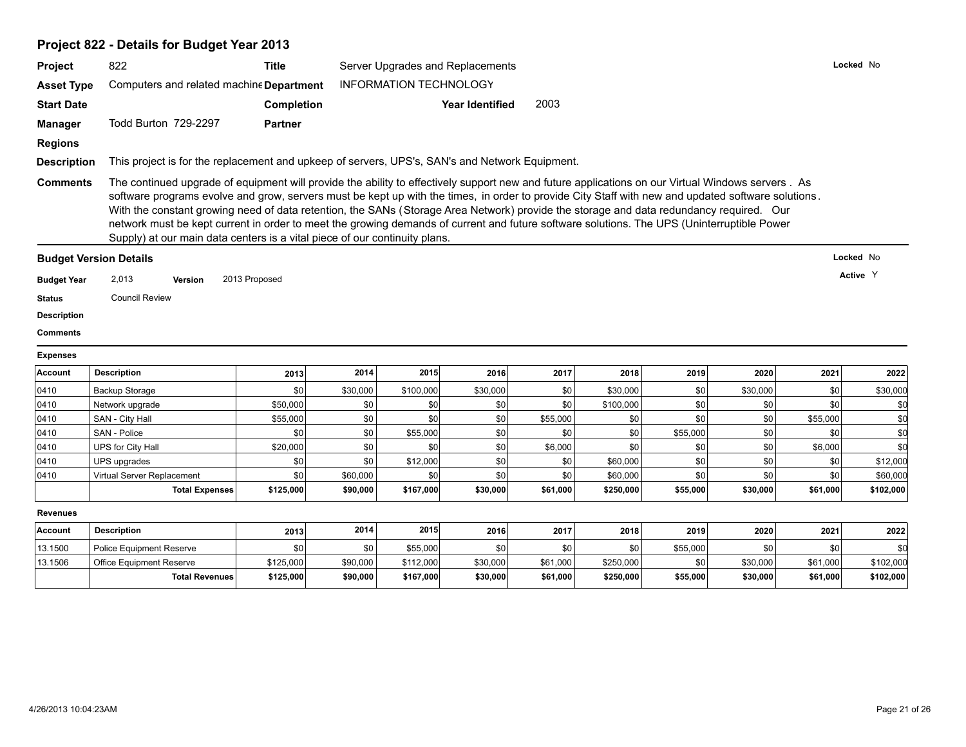## **Project 822 - Details for Budget Year 2013**

| Project                      | 822                                                                                            | <b>Title</b>                                                                                                                                                                                                                                                                                                                                                                                                                                                                                                                                                                                                                                                                   | Server Upgrades and Replacements<br><b>INFORMATION TECHNOLOGY</b> |           |                        |          |           |          |          |          | Locked No                                                |  |  |  |
|------------------------------|------------------------------------------------------------------------------------------------|--------------------------------------------------------------------------------------------------------------------------------------------------------------------------------------------------------------------------------------------------------------------------------------------------------------------------------------------------------------------------------------------------------------------------------------------------------------------------------------------------------------------------------------------------------------------------------------------------------------------------------------------------------------------------------|-------------------------------------------------------------------|-----------|------------------------|----------|-----------|----------|----------|----------|----------------------------------------------------------|--|--|--|
| <b>Asset Type</b>            | Computers and related machine Department                                                       |                                                                                                                                                                                                                                                                                                                                                                                                                                                                                                                                                                                                                                                                                |                                                                   |           |                        |          |           |          |          |          |                                                          |  |  |  |
| <b>Start Date</b>            |                                                                                                | <b>Completion</b>                                                                                                                                                                                                                                                                                                                                                                                                                                                                                                                                                                                                                                                              |                                                                   |           | <b>Year Identified</b> | 2003     |           |          |          |          |                                                          |  |  |  |
| <b>Manager</b>               | Todd Burton 729-2297                                                                           | <b>Partner</b>                                                                                                                                                                                                                                                                                                                                                                                                                                                                                                                                                                                                                                                                 |                                                                   |           |                        |          |           |          |          |          |                                                          |  |  |  |
| <b>Regions</b>               |                                                                                                |                                                                                                                                                                                                                                                                                                                                                                                                                                                                                                                                                                                                                                                                                |                                                                   |           |                        |          |           |          |          |          |                                                          |  |  |  |
| <b>Description</b>           | This project is for the replacement and upkeep of servers, UPS's, SAN's and Network Equipment. |                                                                                                                                                                                                                                                                                                                                                                                                                                                                                                                                                                                                                                                                                |                                                                   |           |                        |          |           |          |          |          |                                                          |  |  |  |
| <b>Comments</b>              |                                                                                                | The continued upgrade of equipment will provide the ability to effectively support new and future applications on our Virtual Windows servers. As<br>software programs evolve and grow, servers must be kept up with the times, in order to provide City Staff with new and updated software solutions.<br>With the constant growing need of data retention, the SANs (Storage Area Network) provide the storage and data redundancy required. Our<br>network must be kept current in order to meet the growing demands of current and future software solutions. The UPS (Uninterruptible Power<br>Supply) at our main data centers is a vital piece of our continuity plans. |                                                                   |           |                        |          |           |          |          |          |                                                          |  |  |  |
|                              |                                                                                                |                                                                                                                                                                                                                                                                                                                                                                                                                                                                                                                                                                                                                                                                                |                                                                   |           |                        |          |           |          |          |          | Locked No                                                |  |  |  |
| <b>Budget Year</b>           | <b>Budget Version Details</b><br>2,013<br>2013 Proposed<br>Version                             |                                                                                                                                                                                                                                                                                                                                                                                                                                                                                                                                                                                                                                                                                |                                                                   |           |                        |          |           |          |          |          | Active Y                                                 |  |  |  |
|                              |                                                                                                |                                                                                                                                                                                                                                                                                                                                                                                                                                                                                                                                                                                                                                                                                |                                                                   |           |                        |          |           |          |          |          |                                                          |  |  |  |
|                              |                                                                                                |                                                                                                                                                                                                                                                                                                                                                                                                                                                                                                                                                                                                                                                                                |                                                                   |           |                        |          |           |          |          |          |                                                          |  |  |  |
|                              | <b>Council Review</b>                                                                          |                                                                                                                                                                                                                                                                                                                                                                                                                                                                                                                                                                                                                                                                                |                                                                   |           |                        |          |           |          |          |          |                                                          |  |  |  |
| <b>Status</b><br>Description |                                                                                                |                                                                                                                                                                                                                                                                                                                                                                                                                                                                                                                                                                                                                                                                                |                                                                   |           |                        |          |           |          |          |          |                                                          |  |  |  |
| <b>Comments</b>              |                                                                                                |                                                                                                                                                                                                                                                                                                                                                                                                                                                                                                                                                                                                                                                                                |                                                                   |           |                        |          |           |          |          |          |                                                          |  |  |  |
| <b>Expenses</b>              |                                                                                                |                                                                                                                                                                                                                                                                                                                                                                                                                                                                                                                                                                                                                                                                                |                                                                   |           |                        |          |           |          |          |          |                                                          |  |  |  |
| <b>Account</b>               | <b>Description</b>                                                                             | 2013                                                                                                                                                                                                                                                                                                                                                                                                                                                                                                                                                                                                                                                                           | 2014                                                              | 2015      | 2016                   | 2017     | 2018      | 2019     | 2020     | 2021     |                                                          |  |  |  |
| 0410                         | <b>Backup Storage</b>                                                                          | \$0                                                                                                                                                                                                                                                                                                                                                                                                                                                                                                                                                                                                                                                                            | \$30,000                                                          | \$100,000 | \$30,000               | \$0      | \$30,000  | \$0      | \$30,000 | \$0      |                                                          |  |  |  |
| 0410                         | Network upgrade                                                                                | \$50,000                                                                                                                                                                                                                                                                                                                                                                                                                                                                                                                                                                                                                                                                       | \$0                                                               | \$0       | \$0                    | \$0      | \$100,000 | \$0      | \$0      | \$0      |                                                          |  |  |  |
| 0410                         | SAN - City Hall                                                                                | \$55,000                                                                                                                                                                                                                                                                                                                                                                                                                                                                                                                                                                                                                                                                       | \$0                                                               | \$0       | \$0                    | \$55,000 | \$0       | \$0      | \$0      | \$55,000 |                                                          |  |  |  |
| 0410                         | SAN - Police                                                                                   | \$0                                                                                                                                                                                                                                                                                                                                                                                                                                                                                                                                                                                                                                                                            | \$0                                                               | \$55,000  | \$0                    | \$0      | \$0       | \$55,000 | \$0      | \$0      |                                                          |  |  |  |
| 0410                         | UPS for City Hall                                                                              | \$20,000                                                                                                                                                                                                                                                                                                                                                                                                                                                                                                                                                                                                                                                                       | \$0                                                               | \$0       | \$0                    | \$6,000  | \$0       | \$0      | \$0      | \$6,000  |                                                          |  |  |  |
| 0410                         | UPS upgrades                                                                                   | \$0                                                                                                                                                                                                                                                                                                                                                                                                                                                                                                                                                                                                                                                                            | \$0                                                               | \$12,000  | \$0                    | \$0      | \$60,000  | \$0      | \$0      | \$0      | 2022<br>\$30,000<br>\$0<br>\$d<br>\$d<br>\$0<br>\$12,000 |  |  |  |
| 0410                         | Virtual Server Replacement                                                                     | \$0                                                                                                                                                                                                                                                                                                                                                                                                                                                                                                                                                                                                                                                                            | \$60,000                                                          | \$0       | \$0                    | \$0      | \$60,000  | \$0      | \$0      | \$0      |                                                          |  |  |  |
|                              | <b>Total Expenses</b>                                                                          | \$125,000                                                                                                                                                                                                                                                                                                                                                                                                                                                                                                                                                                                                                                                                      | \$90,000                                                          | \$167,000 | \$30,000               | \$61,000 | \$250,000 | \$55,000 | \$30,000 | \$61,000 |                                                          |  |  |  |
| Revenues                     |                                                                                                |                                                                                                                                                                                                                                                                                                                                                                                                                                                                                                                                                                                                                                                                                |                                                                   |           |                        |          |           |          |          |          |                                                          |  |  |  |
| Account                      | <b>Description</b>                                                                             | 2013                                                                                                                                                                                                                                                                                                                                                                                                                                                                                                                                                                                                                                                                           | 2014                                                              | 2015      | 2016                   | 2017     | 2018      | 2019     | 2020     | 2021     |                                                          |  |  |  |
| 13.1500                      | <b>Police Equipment Reserve</b>                                                                | \$0                                                                                                                                                                                                                                                                                                                                                                                                                                                                                                                                                                                                                                                                            | \$0                                                               | \$55,000  | \$0                    | \$0      | \$0       | \$55,000 | \$0      | \$0      | \$60,000<br>\$102,000<br>2022<br>\$0                     |  |  |  |
| 13.1506                      | Office Equipment Reserve                                                                       | \$125,000                                                                                                                                                                                                                                                                                                                                                                                                                                                                                                                                                                                                                                                                      | \$90,000                                                          | \$112,000 | \$30,000               | \$61,000 | \$250,000 | \$0      | \$30,000 | \$61,000 | \$102,000                                                |  |  |  |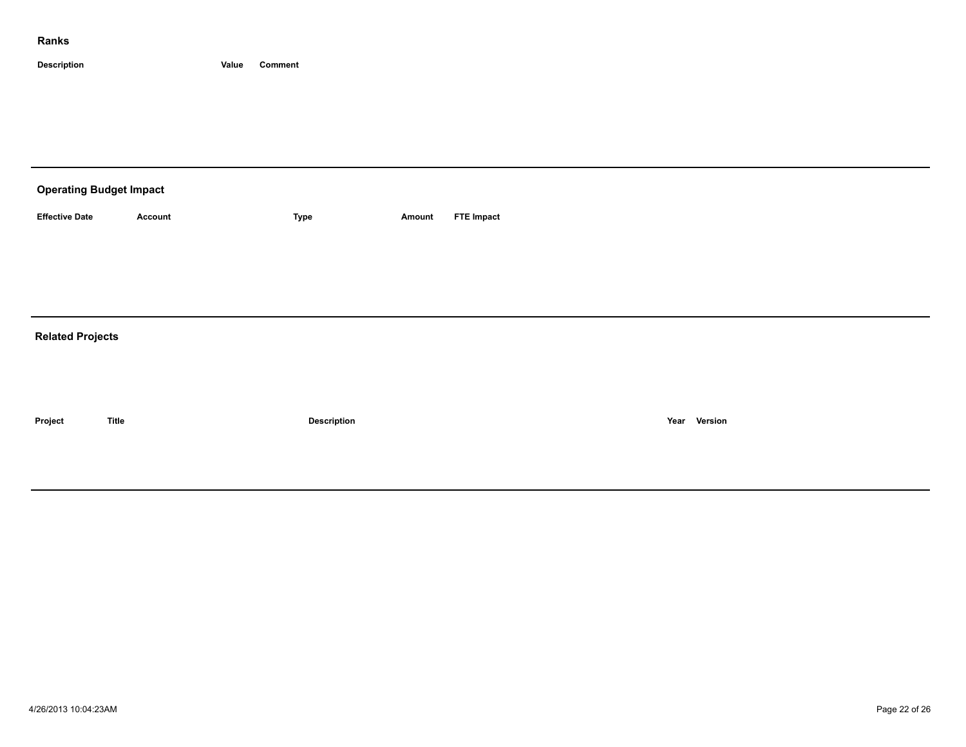| <b>Operating Budget Impact</b> |                |             |        |                   |  |  |  |  |  |  |
|--------------------------------|----------------|-------------|--------|-------------------|--|--|--|--|--|--|
| <b>Effective Date</b>          | <b>Account</b> | Type        | Amount | <b>FTE Impact</b> |  |  |  |  |  |  |
|                                |                |             |        |                   |  |  |  |  |  |  |
|                                |                |             |        |                   |  |  |  |  |  |  |
|                                |                |             |        |                   |  |  |  |  |  |  |
| <b>Related Projects</b>        |                |             |        |                   |  |  |  |  |  |  |
|                                |                |             |        |                   |  |  |  |  |  |  |
|                                |                |             |        |                   |  |  |  |  |  |  |
| Project                        | <b>Title</b>   | Description |        | Year Version      |  |  |  |  |  |  |
|                                |                |             |        |                   |  |  |  |  |  |  |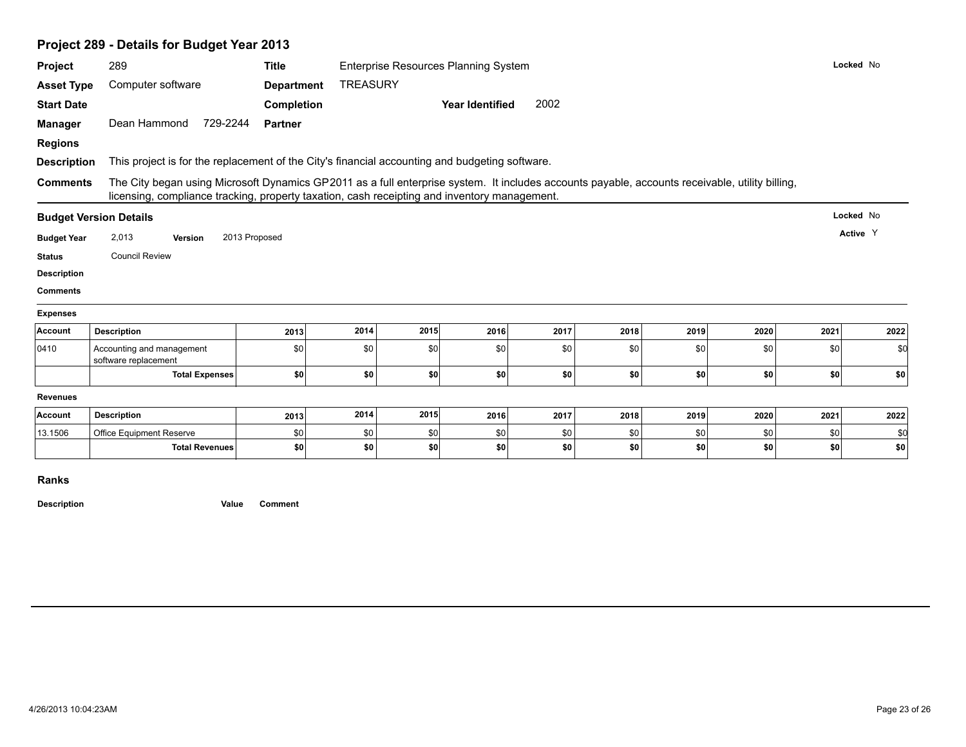|                                                                                              |                                                                                                                                                                                                                                                 | Project 289 - Details for Budget Year 2013<br><b>Title</b> |      |      |                        |      |      |      |           |           |          |
|----------------------------------------------------------------------------------------------|-------------------------------------------------------------------------------------------------------------------------------------------------------------------------------------------------------------------------------------------------|------------------------------------------------------------|------|------|------------------------|------|------|------|-----------|-----------|----------|
| Project                                                                                      | 289                                                                                                                                                                                                                                             | Enterprise Resources Planning System                       |      |      |                        |      |      |      | Locked No |           |          |
| <b>Asset Type</b>                                                                            | Computer software                                                                                                                                                                                                                               | <b>TREASURY</b>                                            |      |      |                        |      |      |      |           |           |          |
| <b>Start Date</b>                                                                            |                                                                                                                                                                                                                                                 | Completion                                                 |      |      | <b>Year Identified</b> | 2002 |      |      |           |           |          |
| <b>Manager</b>                                                                               | Dean Hammond<br>729-2244                                                                                                                                                                                                                        | <b>Partner</b>                                             |      |      |                        |      |      |      |           |           |          |
| <b>Regions</b>                                                                               |                                                                                                                                                                                                                                                 |                                                            |      |      |                        |      |      |      |           |           |          |
| <b>Description</b>                                                                           | This project is for the replacement of the City's financial accounting and budgeting software.                                                                                                                                                  |                                                            |      |      |                        |      |      |      |           |           |          |
| <b>Comments</b>                                                                              | The City began using Microsoft Dynamics GP2011 as a full enterprise system. It includes accounts payable, accounts receivable, utility billing,<br>licensing, compliance tracking, property taxation, cash receipting and inventory management. |                                                            |      |      |                        |      |      |      |           |           |          |
|                                                                                              | <b>Budget Version Details</b>                                                                                                                                                                                                                   |                                                            |      |      |                        |      |      |      |           | Locked No |          |
| <b>Budget Year</b>                                                                           | 2,013<br>Version                                                                                                                                                                                                                                | 2013 Proposed                                              |      |      |                        |      |      |      |           |           | Active Y |
|                                                                                              |                                                                                                                                                                                                                                                 |                                                            |      |      |                        |      |      |      |           |           |          |
|                                                                                              | <b>Council Review</b>                                                                                                                                                                                                                           |                                                            |      |      |                        |      |      |      |           |           |          |
|                                                                                              |                                                                                                                                                                                                                                                 |                                                            |      |      |                        |      |      |      |           |           |          |
|                                                                                              |                                                                                                                                                                                                                                                 |                                                            |      |      |                        |      |      |      |           |           |          |
|                                                                                              |                                                                                                                                                                                                                                                 |                                                            |      |      |                        |      |      |      |           |           |          |
|                                                                                              | <b>Description</b>                                                                                                                                                                                                                              | 2013                                                       | 2014 | 2015 | 2016                   | 2017 | 2018 | 2019 | 2020      | 2021      | 2022     |
| <b>Status</b><br><b>Description</b><br><b>Comments</b><br><b>Expenses</b><br>Account<br>0410 | Accounting and management<br>software replacement                                                                                                                                                                                               | \$0                                                        | \$0  | \$0  | \$0                    | \$0  | \$0  | \$0  | \$0       | \$0       | \$0      |
|                                                                                              | <b>Total Expenses</b>                                                                                                                                                                                                                           | \$0                                                        | \$0  | \$0  | \$0                    | \$0  | \$0  | \$0  | \$0       | \$0       | \$0      |
|                                                                                              |                                                                                                                                                                                                                                                 |                                                            |      |      |                        |      |      |      |           |           |          |
|                                                                                              | <b>Description</b>                                                                                                                                                                                                                              | 2013                                                       | 2014 | 2015 | 2016                   | 2017 | 2018 | 2019 | 2020      | 2021      | 2022     |
| <b>Revenues</b><br>Account<br>13.1506                                                        | Office Equipment Reserve                                                                                                                                                                                                                        | \$0                                                        | \$0  | \$0  | \$0                    | \$0  | \$0  | \$0  | \$0       | \$0       | \$0      |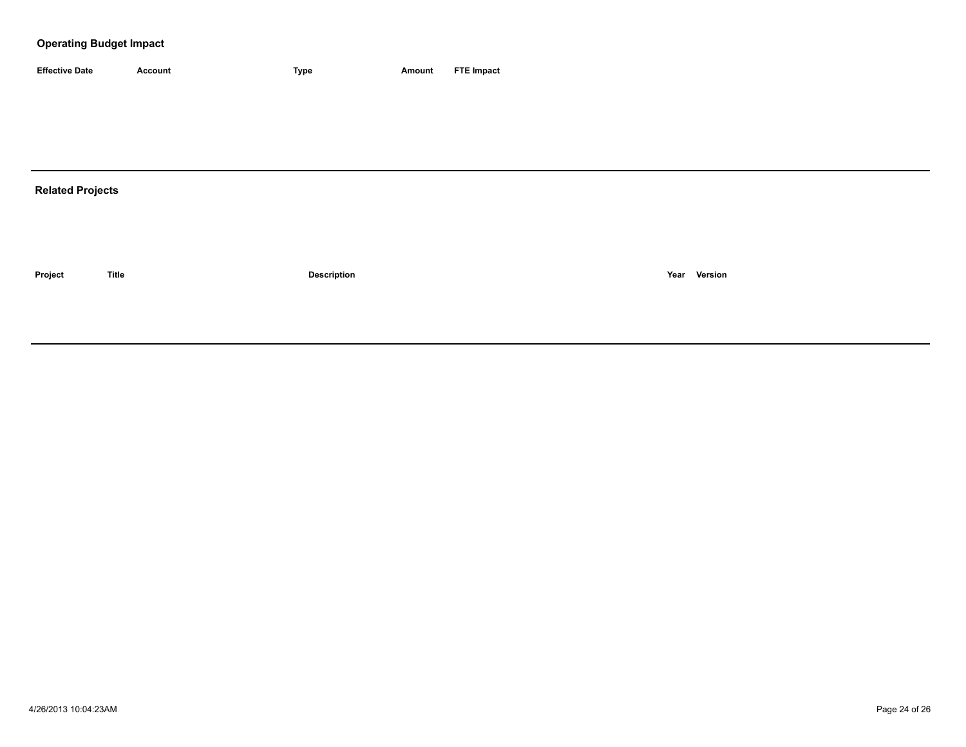## **Operating Budget Impact**

| <b>Effective Date</b> | Account | <b>Type</b> | Amount | <b>FTE Impact</b> |
|-----------------------|---------|-------------|--------|-------------------|

## **Related Projects**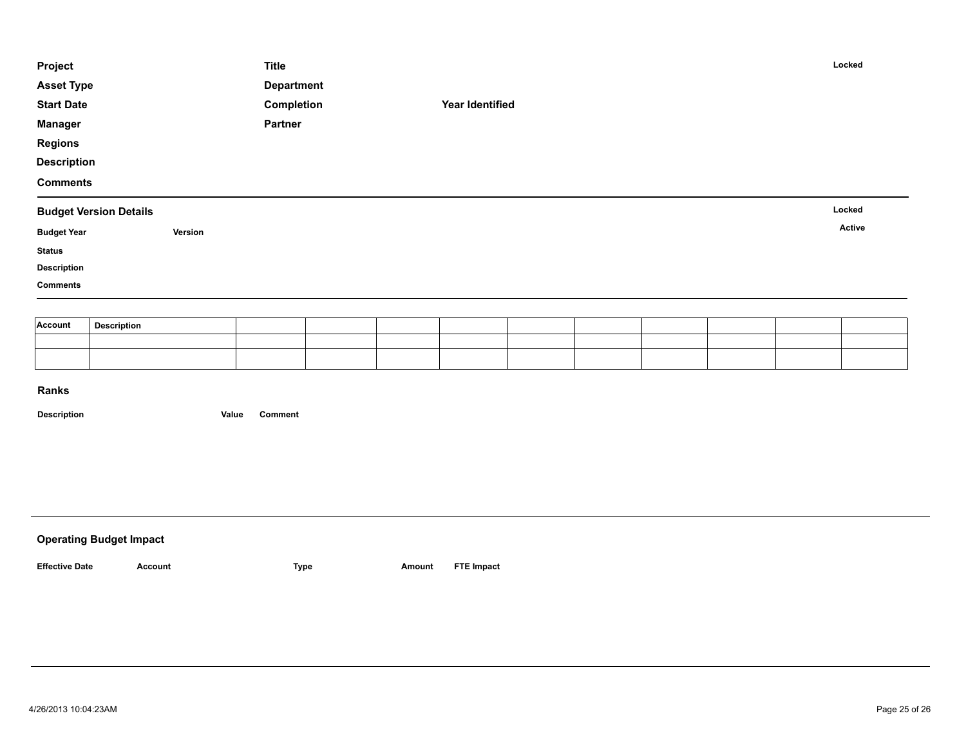| Project            |                               |         | <b>Title</b>      |  |                        |  |  | Locked |
|--------------------|-------------------------------|---------|-------------------|--|------------------------|--|--|--------|
| <b>Asset Type</b>  |                               |         | <b>Department</b> |  |                        |  |  |        |
| <b>Start Date</b>  |                               |         | Completion        |  | <b>Year Identified</b> |  |  |        |
| <b>Manager</b>     |                               |         | Partner           |  |                        |  |  |        |
| <b>Regions</b>     |                               |         |                   |  |                        |  |  |        |
| <b>Description</b> |                               |         |                   |  |                        |  |  |        |
| <b>Comments</b>    |                               |         |                   |  |                        |  |  |        |
|                    | <b>Budget Version Details</b> |         |                   |  |                        |  |  | Locked |
| <b>Budget Year</b> |                               | Version |                   |  |                        |  |  | Active |
| <b>Status</b>      |                               |         |                   |  |                        |  |  |        |
| <b>Description</b> |                               |         |                   |  |                        |  |  |        |
| <b>Comments</b>    |                               |         |                   |  |                        |  |  |        |
|                    |                               |         |                   |  |                        |  |  |        |
| Account            | <b>Description</b>            |         |                   |  |                        |  |  |        |
|                    |                               |         |                   |  |                        |  |  |        |

| <b>Operating Budget Impact</b> |         |      |        |                   |
|--------------------------------|---------|------|--------|-------------------|
| <b>Effective Date</b>          | Account | Type | Amount | <b>FTE Impact</b> |